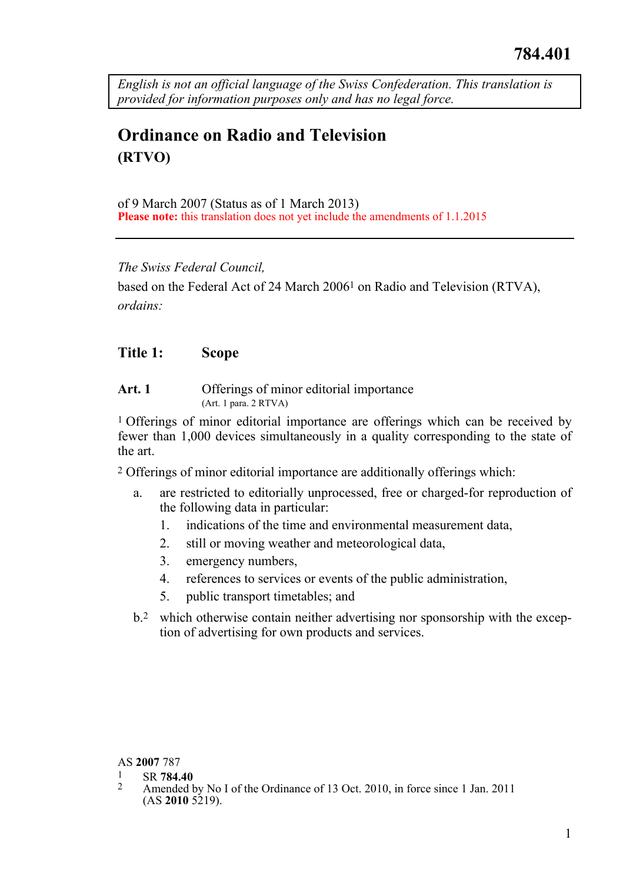*English is not an official language of the Swiss Confederation. This translation is provided for information purposes only and has no legal force.* 

# **Ordinance on Radio and Television (RTVO)**

of 9 March 2007 (Status as of 1 March 2013) **Please note:** this translation does not yet include the amendments of 1.1.2015

*The Swiss Federal Council,* 

based on the Federal Act of 24 March 20061 on Radio and Television (RTVA), *ordains:* 

# **Title 1: Scope**

Art. 1 Offerings of minor editorial importance (Art. 1 para. 2 RTVA)

1 Offerings of minor editorial importance are offerings which can be received by fewer than 1,000 devices simultaneously in a quality corresponding to the state of the art.

2 Offerings of minor editorial importance are additionally offerings which:

- a. are restricted to editorially unprocessed, free or charged-for reproduction of the following data in particular:
	- 1. indications of the time and environmental measurement data,
	- 2. still or moving weather and meteorological data,
	- 3. emergency numbers,
	- 4. references to services or events of the public administration,
	- 5. public transport timetables; and
- b.2 which otherwise contain neither advertising nor sponsorship with the exception of advertising for own products and services.

- 
- AS **2007** 787 1 SR **784.40** 2 Amended by No I of the Ordinance of 13 Oct. 2010, in force since 1 Jan. 2011  $(AS 2010 5219).$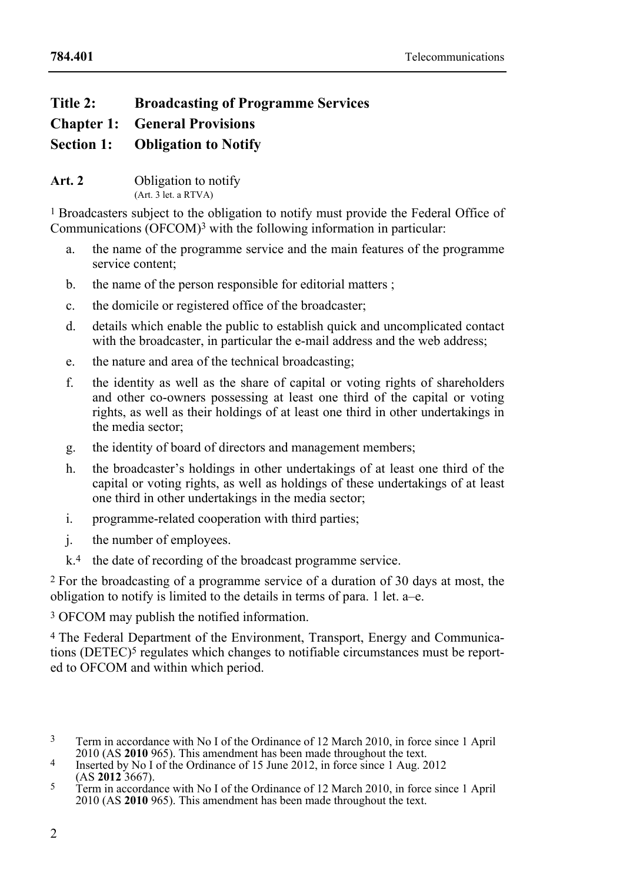# **Title 2: Broadcasting of Programme Services**

**Chapter 1: General Provisions** 

**Section 1: Obligation to Notify**

**Art. 2** Obligation to notify (Art. 3 let. a RTVA)

1 Broadcasters subject to the obligation to notify must provide the Federal Office of Communications (OFCOM)3 with the following information in particular:

- a. the name of the programme service and the main features of the programme service content;
- b. the name of the person responsible for editorial matters ;
- c. the domicile or registered office of the broadcaster;
- d. details which enable the public to establish quick and uncomplicated contact with the broadcaster, in particular the e-mail address and the web address;
- e. the nature and area of the technical broadcasting;
- f. the identity as well as the share of capital or voting rights of shareholders and other co-owners possessing at least one third of the capital or voting rights, as well as their holdings of at least one third in other undertakings in the media sector;
- g. the identity of board of directors and management members;
- h. the broadcaster's holdings in other undertakings of at least one third of the capital or voting rights, as well as holdings of these undertakings of at least one third in other undertakings in the media sector;
- i. programme-related cooperation with third parties;
- j. the number of employees.
- k.<sup>4</sup> the date of recording of the broadcast programme service.

2 For the broadcasting of a programme service of a duration of 30 days at most, the obligation to notify is limited to the details in terms of para. 1 let. a–e.

3 OFCOM may publish the notified information.

4 The Federal Department of the Environment, Transport, Energy and Communications (DETEC)<sup>5</sup> regulates which changes to notifiable circumstances must be reported to OFCOM and within which period.

 $\overline{\mathbf{3}}$ Term in accordance with No I of the Ordinance of 12 March 2010, in force since 1 April 2010 (AS 2010 965). This amendment has been made throughout the text.

<sup>&</sup>lt;sup>4</sup> Inserted by No I of the Ordinance of 15 June 2012, in force since 1 Aug. 2012 (AS **2012** 3667).

<sup>(</sup>AS **2012** 3667). 5 Term in accordance with No I of the Ordinance of 12 March 2010, in force since 1 April 2010 (AS **2010** 965). This amendment has been made throughout the text.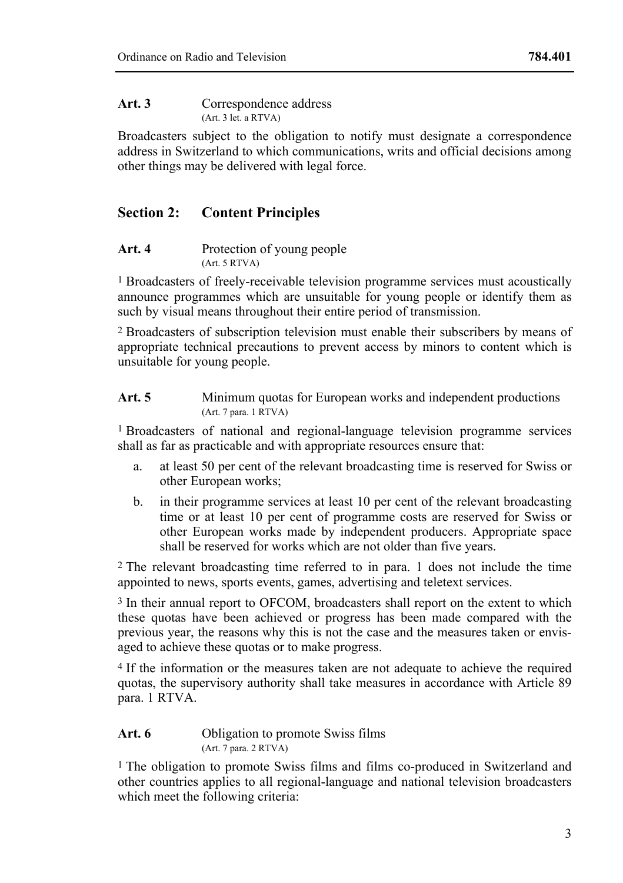### Art. 3 Correspondence address (Art. 3 let. a RTVA)

Broadcasters subject to the obligation to notify must designate a correspondence address in Switzerland to which communications, writs and official decisions among other things may be delivered with legal force.

# **Section 2: Content Principles**

#### Art. 4 Protection of young people (Art. 5 RTVA)

1 Broadcasters of freely-receivable television programme services must acoustically announce programmes which are unsuitable for young people or identify them as such by visual means throughout their entire period of transmission.

2 Broadcasters of subscription television must enable their subscribers by means of appropriate technical precautions to prevent access by minors to content which is unsuitable for young people.

### Art. 5 Minimum quotas for European works and independent productions (Art. 7 para. 1 RTVA)

1 Broadcasters of national and regional-language television programme services shall as far as practicable and with appropriate resources ensure that:

- a. at least 50 per cent of the relevant broadcasting time is reserved for Swiss or other European works;
- b. in their programme services at least 10 per cent of the relevant broadcasting time or at least 10 per cent of programme costs are reserved for Swiss or other European works made by independent producers. Appropriate space shall be reserved for works which are not older than five years.

2 The relevant broadcasting time referred to in para. 1 does not include the time appointed to news, sports events, games, advertising and teletext services.

3 In their annual report to OFCOM, broadcasters shall report on the extent to which these quotas have been achieved or progress has been made compared with the previous year, the reasons why this is not the case and the measures taken or envisaged to achieve these quotas or to make progress.

4 If the information or the measures taken are not adequate to achieve the required quotas, the supervisory authority shall take measures in accordance with Article 89 para. 1 RTVA.

### Art. 6 **Obligation** to promote Swiss films (Art. 7 para. 2 RTVA)

1 The obligation to promote Swiss films and films co-produced in Switzerland and other countries applies to all regional-language and national television broadcasters which meet the following criteria: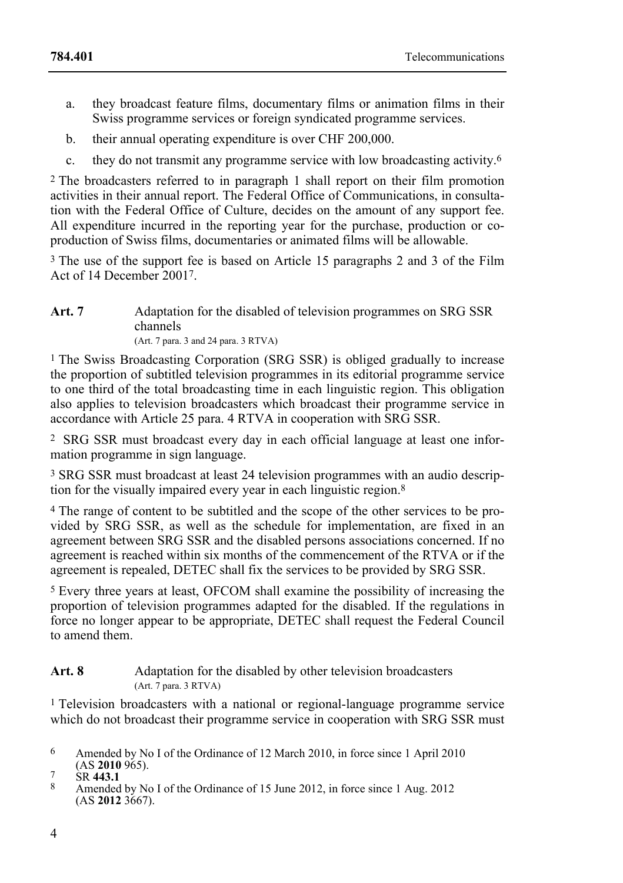- a. they broadcast feature films, documentary films or animation films in their Swiss programme services or foreign syndicated programme services.
- b. their annual operating expenditure is over CHF 200,000.
- c. they do not transmit any programme service with low broadcasting activity.6

2 The broadcasters referred to in paragraph 1 shall report on their film promotion activities in their annual report. The Federal Office of Communications, in consultation with the Federal Office of Culture, decides on the amount of any support fee. All expenditure incurred in the reporting year for the purchase, production or coproduction of Swiss films, documentaries or animated films will be allowable.

3 The use of the support fee is based on Article 15 paragraphs 2 and 3 of the Film Act of 14 December 20017.

#### Art. 7 Adaptation for the disabled of television programmes on SRG SSR channels (Art. 7 para. 3 and 24 para. 3 RTVA)

1 The Swiss Broadcasting Corporation (SRG SSR) is obliged gradually to increase the proportion of subtitled television programmes in its editorial programme service to one third of the total broadcasting time in each linguistic region. This obligation also applies to television broadcasters which broadcast their programme service in accordance with Article 25 para. 4 RTVA in cooperation with SRG SSR.

2 SRG SSR must broadcast every day in each official language at least one information programme in sign language.

3 SRG SSR must broadcast at least 24 television programmes with an audio description for the visually impaired every year in each linguistic region.8

4 The range of content to be subtitled and the scope of the other services to be provided by SRG SSR, as well as the schedule for implementation, are fixed in an agreement between SRG SSR and the disabled persons associations concerned. If no agreement is reached within six months of the commencement of the RTVA or if the agreement is repealed, DETEC shall fix the services to be provided by SRG SSR.

5 Every three years at least, OFCOM shall examine the possibility of increasing the proportion of television programmes adapted for the disabled. If the regulations in force no longer appear to be appropriate, DETEC shall request the Federal Council to amend them.

# Art. 8 Adaptation for the disabled by other television broadcasters (Art. 7 para. 3 RTVA)

<sup>1</sup> Television broadcasters with a national or regional-language programme service which do not broadcast their programme service in cooperation with SRG SSR must

<sup>6</sup> Amended by No I of the Ordinance of 12 March 2010, in force since 1 April 2010 (AS 2010 965).

<sup>&</sup>lt;sup>7</sup> SR 443.1<br><sup>8</sup> Amended by No I of the Ordinance of 15 June 2012, in force since 1 Aug. 2012 (AS **2012** 3667).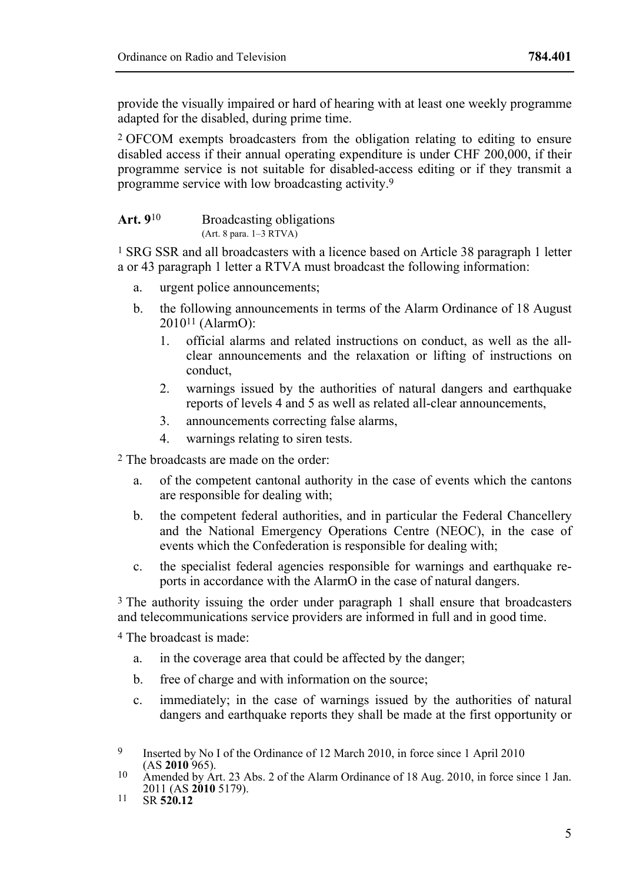provide the visually impaired or hard of hearing with at least one weekly programme adapted for the disabled, during prime time.

2 OFCOM exempts broadcasters from the obligation relating to editing to ensure disabled access if their annual operating expenditure is under CHF 200,000, if their programme service is not suitable for disabled-access editing or if they transmit a programme service with low broadcasting activity.9

#### Art. 9<sup>10</sup> Broadcasting obligations (Art. 8 para. 1–3 RTVA)

1 SRG SSR and all broadcasters with a licence based on Article 38 paragraph 1 letter a or 43 paragraph 1 letter a RTVA must broadcast the following information:

- a. urgent police announcements;
- b. the following announcements in terms of the Alarm Ordinance of 18 August 201011 (AlarmO):
	- 1. official alarms and related instructions on conduct, as well as the allclear announcements and the relaxation or lifting of instructions on conduct,
	- 2. warnings issued by the authorities of natural dangers and earthquake reports of levels 4 and 5 as well as related all-clear announcements,
	- 3. announcements correcting false alarms,
	- 4. warnings relating to siren tests.

2 The broadcasts are made on the order:

- a. of the competent cantonal authority in the case of events which the cantons are responsible for dealing with;
- b. the competent federal authorities, and in particular the Federal Chancellery and the National Emergency Operations Centre (NEOC), in the case of events which the Confederation is responsible for dealing with;
- c. the specialist federal agencies responsible for warnings and earthquake reports in accordance with the AlarmO in the case of natural dangers.

<sup>3</sup> The authority issuing the order under paragraph 1 shall ensure that broadcasters and telecommunications service providers are informed in full and in good time.

4 The broadcast is made:

- a. in the coverage area that could be affected by the danger;
- b. free of charge and with information on the source;
- c. immediately; in the case of warnings issued by the authorities of natural dangers and earthquake reports they shall be made at the first opportunity or

 $\mathbf Q$ Inserted by No I of the Ordinance of 12 March 2010, in force since 1 April 2010 (AS 2010 965).

<sup>&</sup>lt;sup>10</sup> Amended by Art. 23 Abs. 2 of the Alarm Ordinance of 18 Aug. 2010, in force since 1 Jan. 2011 (AS **2010** 5179). 11 SR **520.12**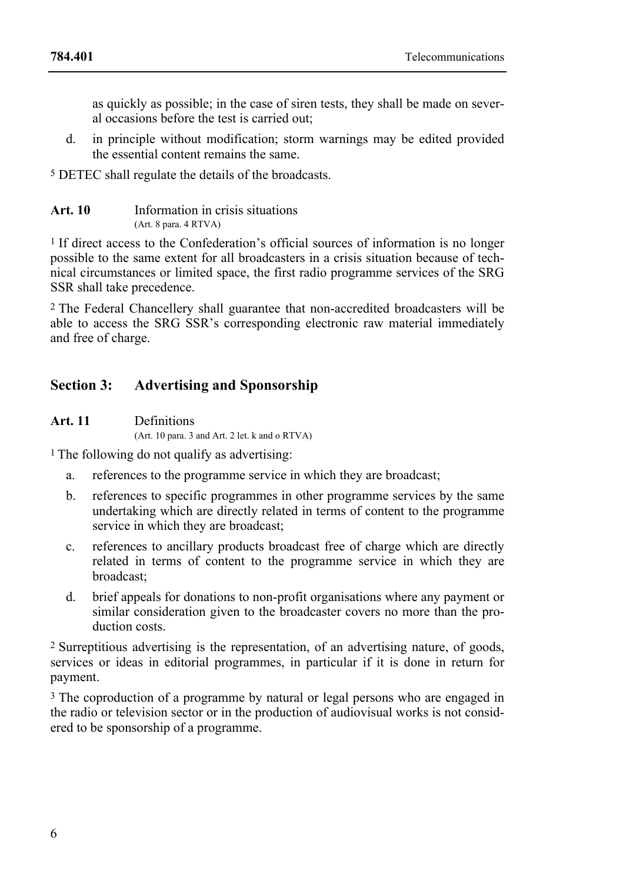as quickly as possible; in the case of siren tests, they shall be made on several occasions before the test is carried out;

d. in principle without modification; storm warnings may be edited provided the essential content remains the same.

5 DETEC shall regulate the details of the broadcasts.

| Art. 10 | Information in crisis situations |
|---------|----------------------------------|
|         | (Art. 8 para. 4 RTVA)            |

1 If direct access to the Confederation's official sources of information is no longer possible to the same extent for all broadcasters in a crisis situation because of technical circumstances or limited space, the first radio programme services of the SRG SSR shall take precedence.

2 The Federal Chancellery shall guarantee that non-accredited broadcasters will be able to access the SRG SSR's corresponding electronic raw material immediately and free of charge.

# **Section 3: Advertising and Sponsorship**

**Art. 11** Definitions (Art. 10 para. 3 and Art. 2 let. k and o RTVA)

1 The following do not qualify as advertising:

- a. references to the programme service in which they are broadcast;
- b. references to specific programmes in other programme services by the same undertaking which are directly related in terms of content to the programme service in which they are broadcast;
- c. references to ancillary products broadcast free of charge which are directly related in terms of content to the programme service in which they are broadcast;
- d. brief appeals for donations to non-profit organisations where any payment or similar consideration given to the broadcaster covers no more than the production costs.

2 Surreptitious advertising is the representation, of an advertising nature, of goods, services or ideas in editorial programmes, in particular if it is done in return for payment.

<sup>3</sup> The coproduction of a programme by natural or legal persons who are engaged in the radio or television sector or in the production of audiovisual works is not considered to be sponsorship of a programme.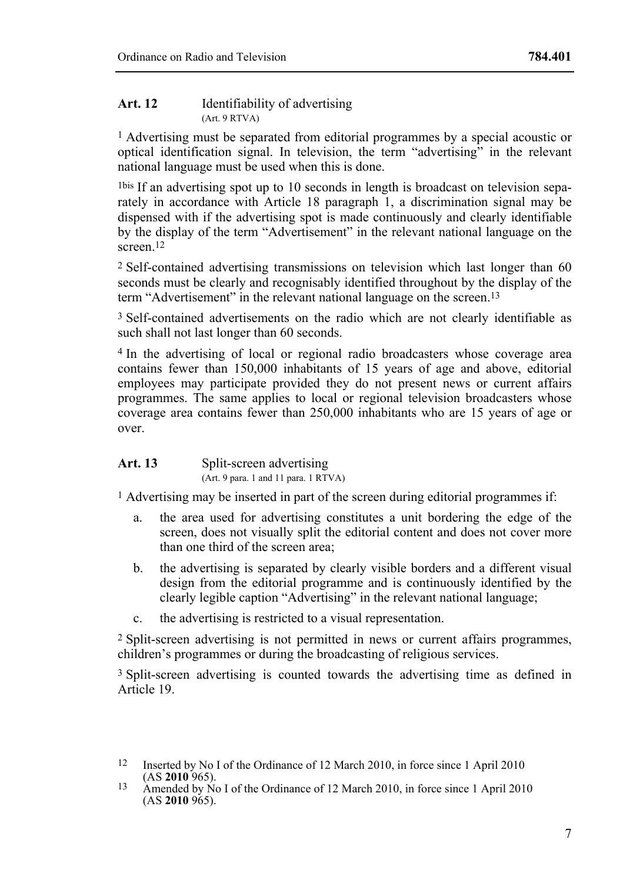#### **Art. 12** Identifiability of advertising (Art. 9 RTVA)

1 Advertising must be separated from editorial programmes by a special acoustic or optical identification signal. In television, the term "advertising" in the relevant national language must be used when this is done.

1bis If an advertising spot up to 10 seconds in length is broadcast on television separately in accordance with Article 18 paragraph 1, a discrimination signal may be dispensed with if the advertising spot is made continuously and clearly identifiable by the display of the term "Advertisement" in the relevant national language on the screen<sup>12</sup>

2 Self-contained advertising transmissions on television which last longer than 60 seconds must be clearly and recognisably identified throughout by the display of the term "Advertisement" in the relevant national language on the screen.13

3 Self-contained advertisements on the radio which are not clearly identifiable as such shall not last longer than 60 seconds.

4 In the advertising of local or regional radio broadcasters whose coverage area contains fewer than 150,000 inhabitants of 15 years of age and above, editorial employees may participate provided they do not present news or current affairs programmes. The same applies to local or regional television broadcasters whose coverage area contains fewer than 250,000 inhabitants who are 15 years of age or over.

| Art. 13 | Split-screen advertising             |
|---------|--------------------------------------|
|         | (Art. 9 para. 1 and 11 para. 1 RTVA) |

1 Advertising may be inserted in part of the screen during editorial programmes if:

- a. the area used for advertising constitutes a unit bordering the edge of the screen, does not visually split the editorial content and does not cover more than one third of the screen area;
- b. the advertising is separated by clearly visible borders and a different visual design from the editorial programme and is continuously identified by the clearly legible caption "Advertising" in the relevant national language;
- c. the advertising is restricted to a visual representation.

2 Split-screen advertising is not permitted in news or current affairs programmes, children's programmes or during the broadcasting of religious services.

3 Split-screen advertising is counted towards the advertising time as defined in Article 19.

<sup>&</sup>lt;sup>12</sup> Inserted by No I of the Ordinance of 12 March 2010, in force since 1 April 2010 (AS **2010** 965).

<sup>&</sup>lt;sup>13</sup> Amended by No I of the Ordinance of 12 March 2010, in force since 1 April 2010 (AS **2010** 965).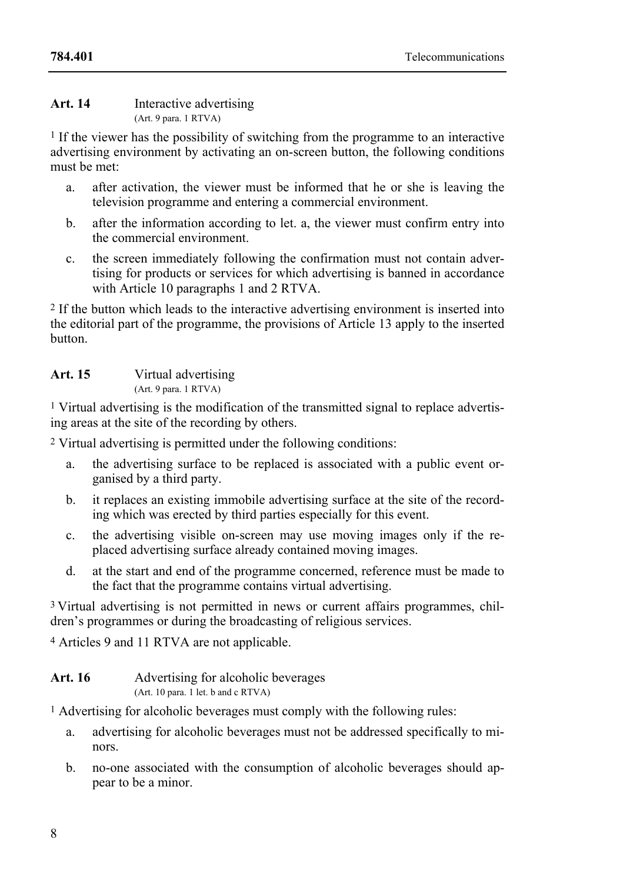#### **Art. 14** Interactive advertising (Art. 9 para. 1 RTVA)

1 If the viewer has the possibility of switching from the programme to an interactive advertising environment by activating an on-screen button, the following conditions must be met:

- a. after activation, the viewer must be informed that he or she is leaving the television programme and entering a commercial environment.
- b. after the information according to let. a, the viewer must confirm entry into the commercial environment.
- c. the screen immediately following the confirmation must not contain advertising for products or services for which advertising is banned in accordance with Article 10 paragraphs 1 and 2 RTVA.

2 If the button which leads to the interactive advertising environment is inserted into the editorial part of the programme, the provisions of Article 13 apply to the inserted button.

### **Art. 15** Virtual advertising (Art. 9 para. 1 RTVA)

1 Virtual advertising is the modification of the transmitted signal to replace advertising areas at the site of the recording by others.

2 Virtual advertising is permitted under the following conditions:

- a. the advertising surface to be replaced is associated with a public event organised by a third party.
- b. it replaces an existing immobile advertising surface at the site of the recording which was erected by third parties especially for this event.
- c. the advertising visible on-screen may use moving images only if the replaced advertising surface already contained moving images.
- d. at the start and end of the programme concerned, reference must be made to the fact that the programme contains virtual advertising.

<sup>3</sup> Virtual advertising is not permitted in news or current affairs programmes, children's programmes or during the broadcasting of religious services.

4 Articles 9 and 11 RTVA are not applicable.

| Art. 16 | Advertising for alcoholic beverages |  |
|---------|-------------------------------------|--|
|         | (Art. 10 para. 1 let. b and c RTVA) |  |

<sup>1</sup> Advertising for alcoholic beverages must comply with the following rules:

- a. advertising for alcoholic beverages must not be addressed specifically to minors.
- b. no-one associated with the consumption of alcoholic beverages should appear to be a minor.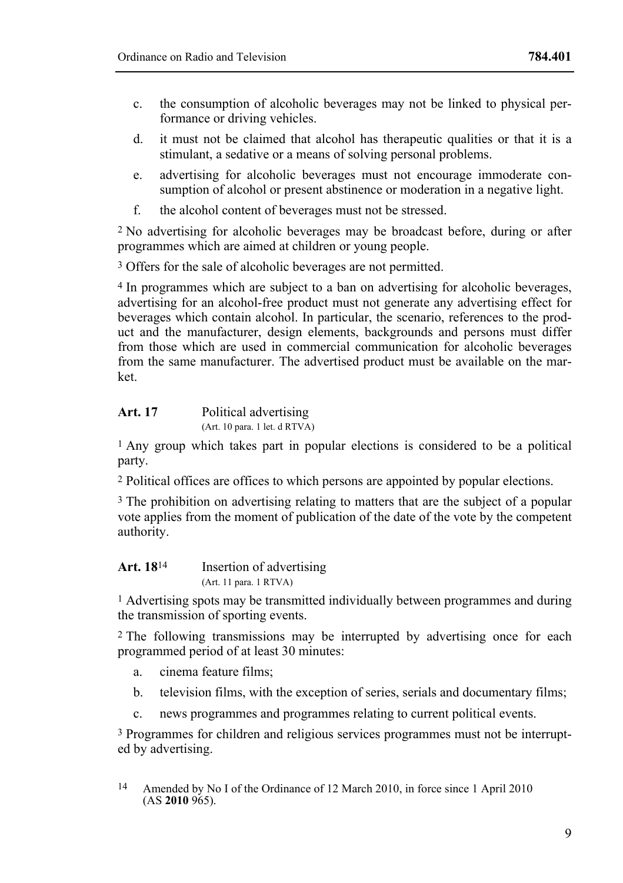- c. the consumption of alcoholic beverages may not be linked to physical performance or driving vehicles.
- d. it must not be claimed that alcohol has therapeutic qualities or that it is a stimulant, a sedative or a means of solving personal problems.
- e. advertising for alcoholic beverages must not encourage immoderate consumption of alcohol or present abstinence or moderation in a negative light.
- f. the alcohol content of beverages must not be stressed.

2 No advertising for alcoholic beverages may be broadcast before, during or after programmes which are aimed at children or young people.

3 Offers for the sale of alcoholic beverages are not permitted.

4 In programmes which are subject to a ban on advertising for alcoholic beverages, advertising for an alcohol-free product must not generate any advertising effect for beverages which contain alcohol. In particular, the scenario, references to the product and the manufacturer, design elements, backgrounds and persons must differ from those which are used in commercial communication for alcoholic beverages from the same manufacturer. The advertised product must be available on the market.

| Art. 17 | Political advertising         |
|---------|-------------------------------|
|         | (Art. 10 para. 1 let. d RTVA) |

1 Any group which takes part in popular elections is considered to be a political party.

2 Political offices are offices to which persons are appointed by popular elections.

3 The prohibition on advertising relating to matters that are the subject of a popular vote applies from the moment of publication of the date of the vote by the competent authority.

| Art. 18 <sup>14</sup> | Insertion of advertising |
|-----------------------|--------------------------|
|                       | (Art. 11 para. 1 RTVA)   |

1 Advertising spots may be transmitted individually between programmes and during the transmission of sporting events.

2 The following transmissions may be interrupted by advertising once for each programmed period of at least 30 minutes:

- a. cinema feature films;
- b. television films, with the exception of series, serials and documentary films;
- c. news programmes and programmes relating to current political events.

3 Programmes for children and religious services programmes must not be interrupted by advertising.

 $14$ 14 Amended by No I of the Ordinance of 12 March 2010, in force since 1 April 2010 (AS **2010** 965).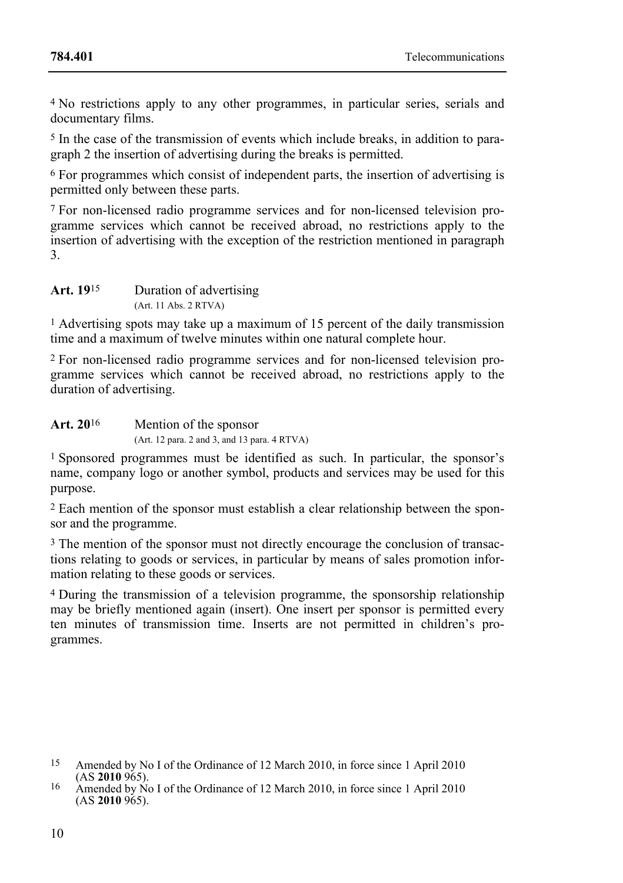4 No restrictions apply to any other programmes, in particular series, serials and documentary films.

5 In the case of the transmission of events which include breaks, in addition to paragraph 2 the insertion of advertising during the breaks is permitted.

6 For programmes which consist of independent parts, the insertion of advertising is permitted only between these parts.

7 For non-licensed radio programme services and for non-licensed television programme services which cannot be received abroad, no restrictions apply to the insertion of advertising with the exception of the restriction mentioned in paragraph 3.

**Art. 19**15 Duration of advertising (Art. 11 Abs. 2 RTVA)

1 Advertising spots may take up a maximum of 15 percent of the daily transmission time and a maximum of twelve minutes within one natural complete hour.

2 For non-licensed radio programme services and for non-licensed television programme services which cannot be received abroad, no restrictions apply to the duration of advertising.

Art. 20<sup>16</sup> Mention of the sponsor (Art. 12 para. 2 and 3, and 13 para. 4 RTVA)

1 Sponsored programmes must be identified as such. In particular, the sponsor's name, company logo or another symbol, products and services may be used for this purpose.

2 Each mention of the sponsor must establish a clear relationship between the sponsor and the programme.

3 The mention of the sponsor must not directly encourage the conclusion of transactions relating to goods or services, in particular by means of sales promotion information relating to these goods or services.

4 During the transmission of a television programme, the sponsorship relationship may be briefly mentioned again (insert). One insert per sponsor is permitted every ten minutes of transmission time. Inserts are not permitted in children's programmes.

<sup>&</sup>lt;sup>15</sup> Amended by No I of the Ordinance of 12 March 2010, in force since 1 April 2010 (AS **2010** 965).

<sup>&</sup>lt;sup>16</sup> Amended by No I of the Ordinance of 12 March 2010, in force since 1 April 2010 (AS **2010** 965).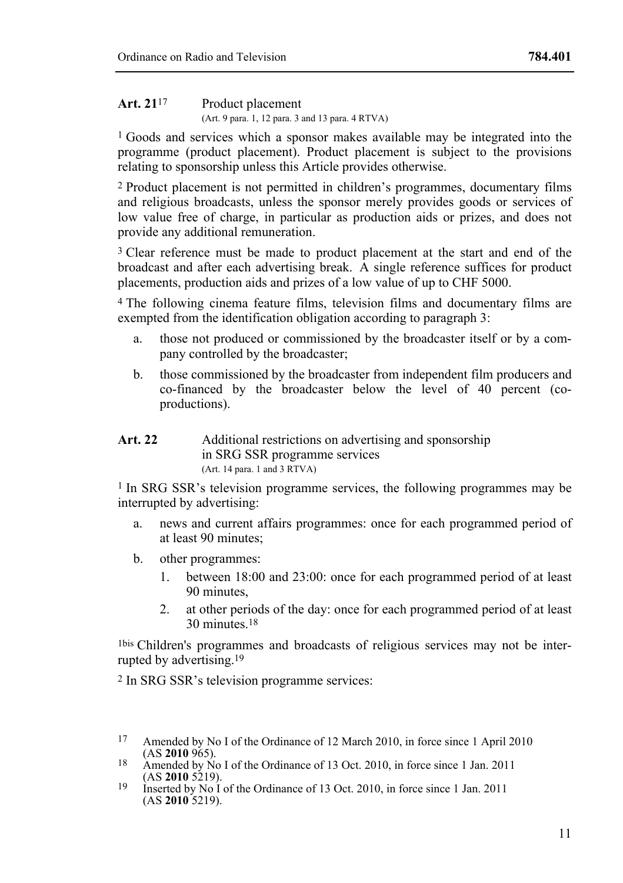### Art. 21<sup>17</sup> Product placement (Art. 9 para. 1, 12 para. 3 and 13 para. 4 RTVA)

1 Goods and services which a sponsor makes available may be integrated into the programme (product placement). Product placement is subject to the provisions relating to sponsorship unless this Article provides otherwise.

2 Product placement is not permitted in children's programmes, documentary films and religious broadcasts, unless the sponsor merely provides goods or services of low value free of charge, in particular as production aids or prizes, and does not provide any additional remuneration.

<sup>3</sup> Clear reference must be made to product placement at the start and end of the broadcast and after each advertising break. A single reference suffices for product placements, production aids and prizes of a low value of up to CHF 5000.

4 The following cinema feature films, television films and documentary films are exempted from the identification obligation according to paragraph 3:

- a. those not produced or commissioned by the broadcaster itself or by a company controlled by the broadcaster;
- b. those commissioned by the broadcaster from independent film producers and co-financed by the broadcaster below the level of 40 percent (coproductions).

### Art. 22 Additional restrictions on advertising and sponsorship in SRG SSR programme services (Art. 14 para. 1 and 3 RTVA)

1 In SRG SSR's television programme services, the following programmes may be interrupted by advertising:

- a. news and current affairs programmes: once for each programmed period of at least 90 minutes;
- b. other programmes:
	- 1. between 18:00 and 23:00: once for each programmed period of at least 90 minutes,
	- 2. at other periods of the day: once for each programmed period of at least 30 minutes.18

1bis Children's programmes and broadcasts of religious services may not be interrupted by advertising.19

2 In SRG SSR's television programme services:

<sup>17</sup> Amended by No I of the Ordinance of 12 March 2010, in force since 1 April 2010 (AS 2010 965).

<sup>&</sup>lt;sup>18</sup> Amended by No I of the Ordinance of 13 Oct. 2010, in force since 1 Jan. 2011 (AS **2010** 5219).

<sup>&</sup>lt;sup>19</sup> Inserted by No I of the Ordinance of 13 Oct. 2010, in force since 1 Jan. 2011 (AS **2010** 5219).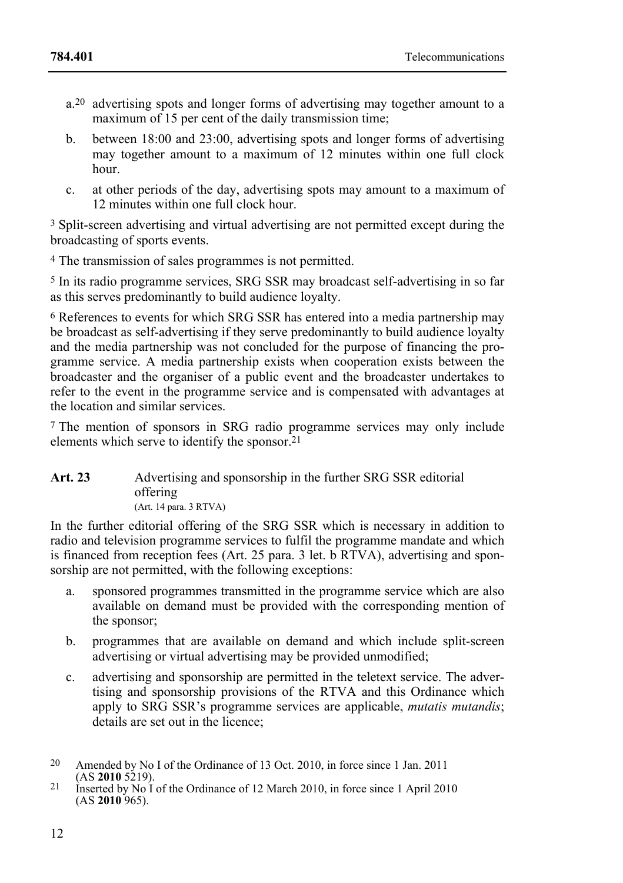- a.20 advertising spots and longer forms of advertising may together amount to a maximum of 15 per cent of the daily transmission time:
- b. between 18:00 and 23:00, advertising spots and longer forms of advertising may together amount to a maximum of 12 minutes within one full clock hour.
- c. at other periods of the day, advertising spots may amount to a maximum of 12 minutes within one full clock hour.

3 Split-screen advertising and virtual advertising are not permitted except during the broadcasting of sports events.

4 The transmission of sales programmes is not permitted.

5 In its radio programme services, SRG SSR may broadcast self-advertising in so far as this serves predominantly to build audience loyalty.

6 References to events for which SRG SSR has entered into a media partnership may be broadcast as self-advertising if they serve predominantly to build audience loyalty and the media partnership was not concluded for the purpose of financing the programme service. A media partnership exists when cooperation exists between the broadcaster and the organiser of a public event and the broadcaster undertakes to refer to the event in the programme service and is compensated with advantages at the location and similar services.

7 The mention of sponsors in SRG radio programme services may only include elements which serve to identify the sponsor.21

#### **Art. 23** Advertising and sponsorship in the further SRG SSR editorial offering (Art. 14 para. 3 RTVA)

In the further editorial offering of the SRG SSR which is necessary in addition to radio and television programme services to fulfil the programme mandate and which is financed from reception fees (Art. 25 para. 3 let. b  $\widetilde{R}$  RTVA), advertising and sponsorship are not permitted, with the following exceptions:

- a. sponsored programmes transmitted in the programme service which are also available on demand must be provided with the corresponding mention of the sponsor;
- b. programmes that are available on demand and which include split-screen advertising or virtual advertising may be provided unmodified;
- c. advertising and sponsorship are permitted in the teletext service. The advertising and sponsorship provisions of the RTVA and this Ordinance which apply to SRG SSR's programme services are applicable, *mutatis mutandis*; details are set out in the licence;

<sup>&</sup>lt;sup>20</sup> Amended by No I of the Ordinance of 13 Oct. 2010, in force since 1 Jan. 2011 (AS **2010** 5219).

<sup>&</sup>lt;sup>21</sup> Inserted by No I of the Ordinance of 12 March 2010, in force since 1 April 2010 (AS **2010** 965).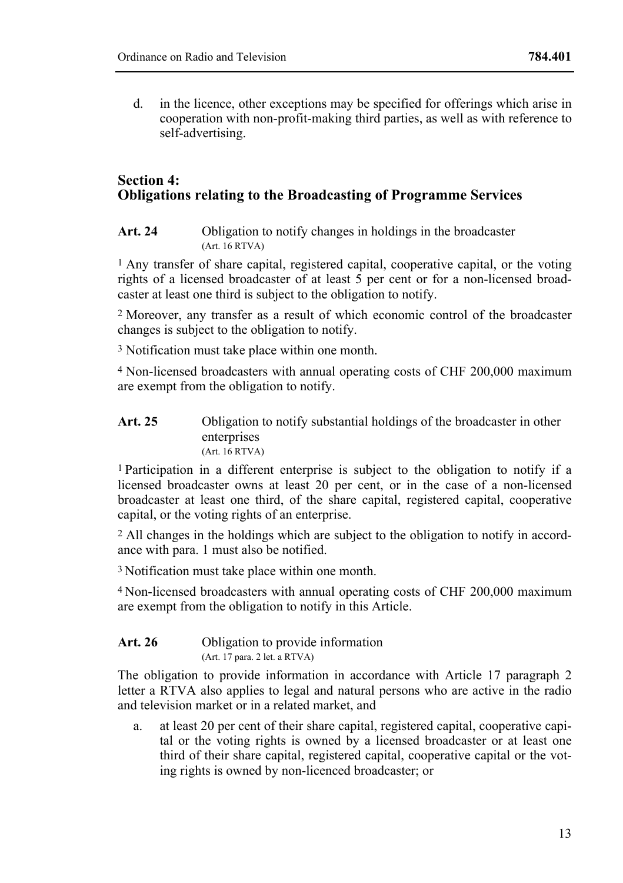d. in the licence, other exceptions may be specified for offerings which arise in cooperation with non-profit-making third parties, as well as with reference to self-advertising.

# **Section 4: Obligations relating to the Broadcasting of Programme Services**

Art. 24 Obligation to notify changes in holdings in the broadcaster (Art. 16 RTVA)

<sup>1</sup> Any transfer of share capital, registered capital, cooperative capital, or the voting rights of a licensed broadcaster of at least  $\overline{5}$  per cent or for a non-licensed broadcaster at least one third is subject to the obligation to notify.

2 Moreover, any transfer as a result of which economic control of the broadcaster changes is subject to the obligation to notify.

3 Notification must take place within one month.

4 Non-licensed broadcasters with annual operating costs of CHF 200,000 maximum are exempt from the obligation to notify.

#### Art. 25 Obligation to notify substantial holdings of the broadcaster in other enterprises (Art. 16 RTVA)

1 Participation in a different enterprise is subject to the obligation to notify if a licensed broadcaster owns at least 20 per cent, or in the case of a non-licensed broadcaster at least one third, of the share capital, registered capital, cooperative capital, or the voting rights of an enterprise.

2 All changes in the holdings which are subject to the obligation to notify in accordance with para. 1 must also be notified.

3 Notification must take place within one month.

4 Non-licensed broadcasters with annual operating costs of CHF 200,000 maximum are exempt from the obligation to notify in this Article.

#### Art. 26 Obligation to provide information (Art. 17 para. 2 let. a RTVA)

The obligation to provide information in accordance with Article 17 paragraph 2 letter a RTVA also applies to legal and natural persons who are active in the radio and television market or in a related market, and

a. at least 20 per cent of their share capital, registered capital, cooperative capital or the voting rights is owned by a licensed broadcaster or at least one third of their share capital, registered capital, cooperative capital or the voting rights is owned by non-licenced broadcaster; or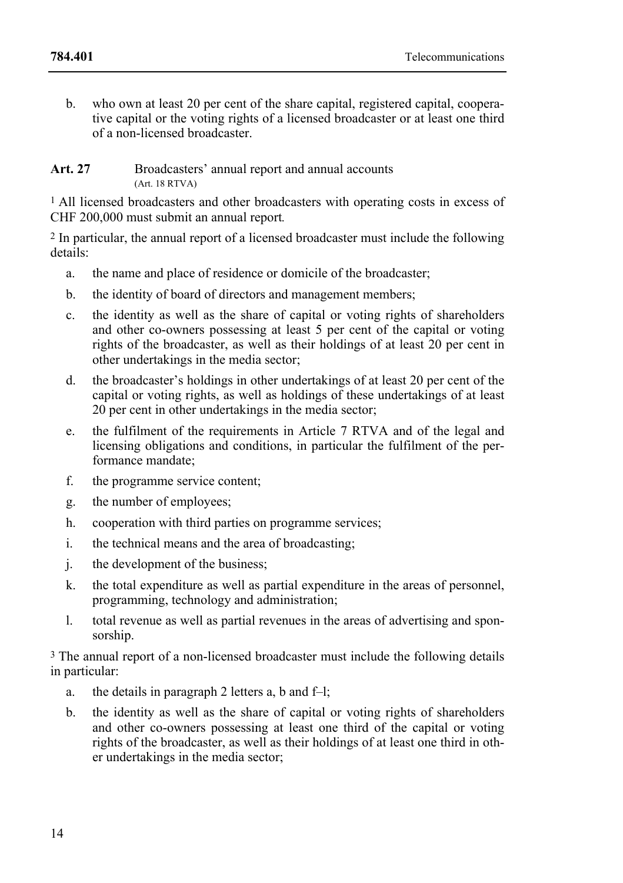b. who own at least 20 per cent of the share capital, registered capital, cooperative capital or the voting rights of a licensed broadcaster or at least one third of a non-licensed broadcaster.

Art. 27 Broadcasters' annual report and annual accounts (Art. 18 RTVA)

1 All licensed broadcasters and other broadcasters with operating costs in excess of CHF 200,000 must submit an annual report*.*

2 In particular, the annual report of a licensed broadcaster must include the following details:

- a. the name and place of residence or domicile of the broadcaster;
- b. the identity of board of directors and management members;
- c. the identity as well as the share of capital or voting rights of shareholders and other co-owners possessing at least 5 per cent of the capital or voting rights of the broadcaster, as well as their holdings of at least 20 per cent in other undertakings in the media sector;
- d. the broadcaster's holdings in other undertakings of at least 20 per cent of the capital or voting rights, as well as holdings of these undertakings of at least 20 per cent in other undertakings in the media sector;
- e. the fulfilment of the requirements in Article 7 RTVA and of the legal and licensing obligations and conditions, in particular the fulfilment of the performance mandate;
- f. the programme service content;
- g. the number of employees;
- h. cooperation with third parties on programme services;
- i. the technical means and the area of broadcasting;
- j. the development of the business;
- k. the total expenditure as well as partial expenditure in the areas of personnel, programming, technology and administration;
- l. total revenue as well as partial revenues in the areas of advertising and sponsorship.

3 The annual report of a non-licensed broadcaster must include the following details in particular:

- a. the details in paragraph 2 letters a, b and f–l;
- b. the identity as well as the share of capital or voting rights of shareholders and other co-owners possessing at least one third of the capital or voting rights of the broadcaster, as well as their holdings of at least one third in other undertakings in the media sector;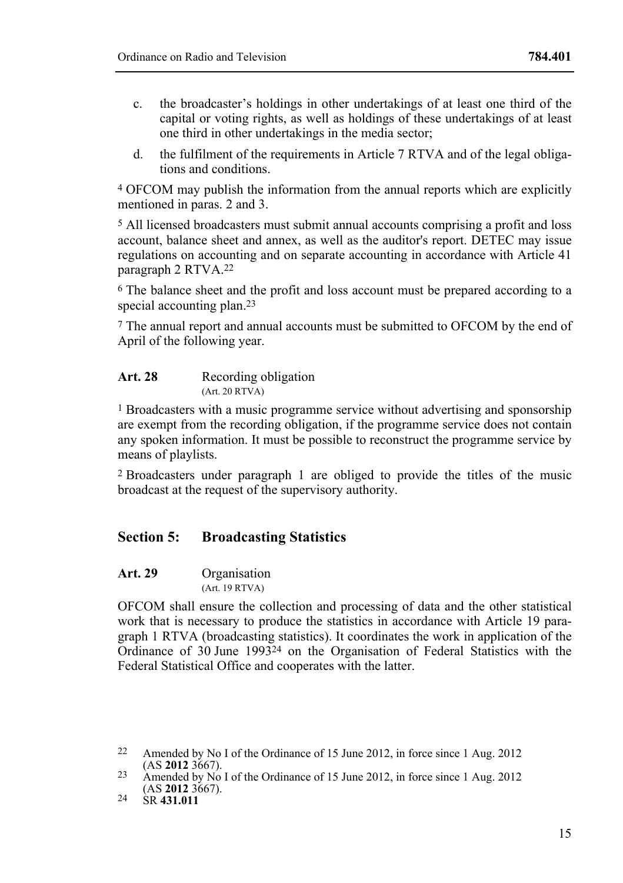- c. the broadcaster's holdings in other undertakings of at least one third of the capital or voting rights, as well as holdings of these undertakings of at least one third in other undertakings in the media sector;
- d. the fulfilment of the requirements in Article 7 RTVA and of the legal obligations and conditions.

4 OFCOM may publish the information from the annual reports which are explicitly mentioned in paras. 2 and 3.

5 All licensed broadcasters must submit annual accounts comprising a profit and loss account, balance sheet and annex, as well as the auditor's report. DETEC may issue regulations on accounting and on separate accounting in accordance with Article 41 paragraph 2 RTVA.22

6 The balance sheet and the profit and loss account must be prepared according to a special accounting plan.<sup>23</sup>

7 The annual report and annual accounts must be submitted to OFCOM by the end of April of the following year.

| Art. 28 | Recording obligation |
|---------|----------------------|
|         | (Art. 20 RTVA)       |

1 Broadcasters with a music programme service without advertising and sponsorship are exempt from the recording obligation, if the programme service does not contain any spoken information. It must be possible to reconstruct the programme service by means of playlists.

2 Broadcasters under paragraph 1 are obliged to provide the titles of the music broadcast at the request of the supervisory authority.

# **Section 5: Broadcasting Statistics**

**Art. 29** Organisation

(Art. 19 RTVA)

OFCOM shall ensure the collection and processing of data and the other statistical work that is necessary to produce the statistics in accordance with Article 19 paragraph 1 RTVA (broadcasting statistics). It coordinates the work in application of the Ordinance of 30 June 1993<sup>24</sup> on the Organisation of Federal Statistics with the Federal Statistical Office and cooperates with the latter.

 $22$ Amended by No I of the Ordinance of 15 June 2012, in force since 1 Aug. 2012 (AS 2012 3667).

<sup>23</sup> Amended by No I of the Ordinance of 15 June 2012, in force since 1 Aug. 2012 (AS **2012** 3667). 24 SR **431.011**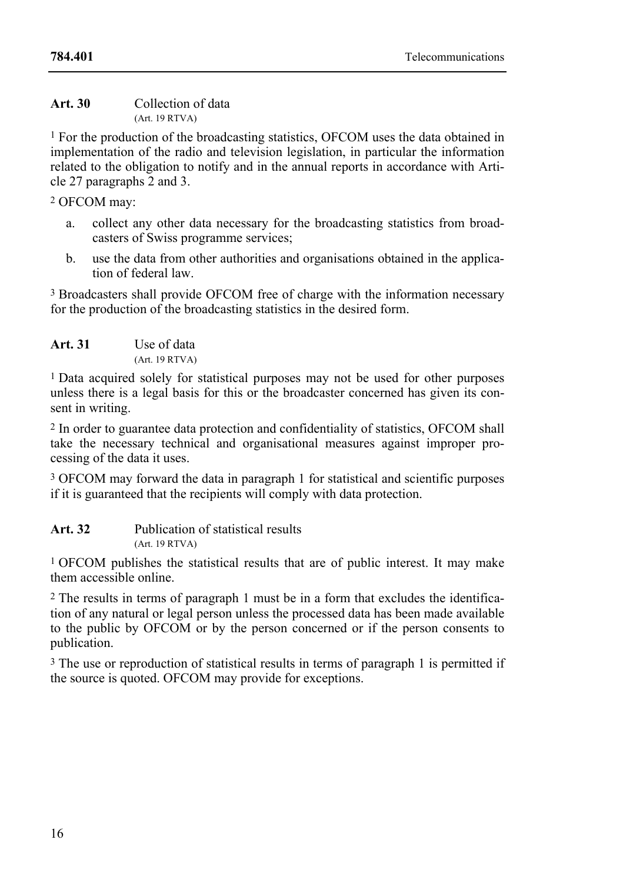| Art. 30 | Collection of data |
|---------|--------------------|
|         | (Art. 19 RTVA)     |

1 For the production of the broadcasting statistics, OFCOM uses the data obtained in implementation of the radio and television legislation, in particular the information related to the obligation to notify and in the annual reports in accordance with Article 27 paragraphs 2 and 3.

2 OFCOM may:

- a. collect any other data necessary for the broadcasting statistics from broadcasters of Swiss programme services;
- b. use the data from other authorities and organisations obtained in the application of federal law.

3 Broadcasters shall provide OFCOM free of charge with the information necessary for the production of the broadcasting statistics in the desired form.

| Art. 31 | Use of data    |
|---------|----------------|
|         | (Art. 19 RTVA) |

1 Data acquired solely for statistical purposes may not be used for other purposes unless there is a legal basis for this or the broadcaster concerned has given its consent in writing.

2 In order to guarantee data protection and confidentiality of statistics, OFCOM shall take the necessary technical and organisational measures against improper processing of the data it uses.

3 OFCOM may forward the data in paragraph 1 for statistical and scientific purposes if it is guaranteed that the recipients will comply with data protection.

**Art. 32** Publication of statistical results (Art. 19 RTVA)

1 OFCOM publishes the statistical results that are of public interest. It may make them accessible online.

2 The results in terms of paragraph 1 must be in a form that excludes the identification of any natural or legal person unless the processed data has been made available to the public by OFCOM or by the person concerned or if the person consents to publication.

<sup>3</sup> The use or reproduction of statistical results in terms of paragraph 1 is permitted if the source is quoted. OFCOM may provide for exceptions.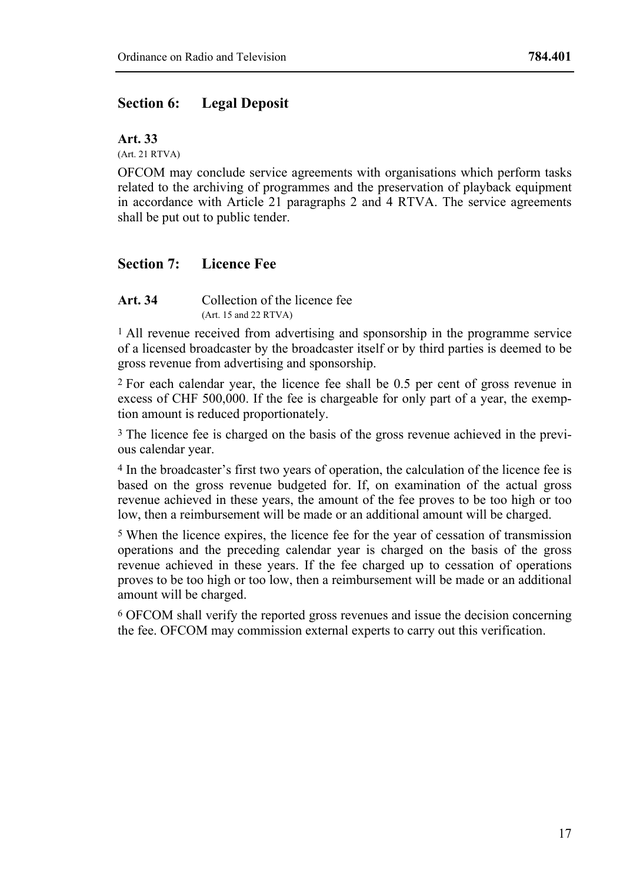### **Section 6: Legal Deposit**

**Art. 33**

(Art. 21 RTVA)

OFCOM may conclude service agreements with organisations which perform tasks related to the archiving of programmes and the preservation of playback equipment in accordance with Article 21 paragraphs 2 and 4 RTVA. The service agreements shall be put out to public tender.

# **Section 7: Licence Fee**

**Art. 34** Collection of the licence fee (Art. 15 and 22 RTVA)

<sup>1</sup> All revenue received from advertising and sponsorship in the programme service of a licensed broadcaster by the broadcaster itself or by third parties is deemed to be gross revenue from advertising and sponsorship.

2 For each calendar year, the licence fee shall be 0.5 per cent of gross revenue in excess of CHF 500,000. If the fee is chargeable for only part of a year, the exemption amount is reduced proportionately.

3 The licence fee is charged on the basis of the gross revenue achieved in the previous calendar year.

4 In the broadcaster's first two years of operation, the calculation of the licence fee is based on the gross revenue budgeted for. If, on examination of the actual gross revenue achieved in these years, the amount of the fee proves to be too high or too low, then a reimbursement will be made or an additional amount will be charged.

5 When the licence expires, the licence fee for the year of cessation of transmission operations and the preceding calendar year is charged on the basis of the gross revenue achieved in these years. If the fee charged up to cessation of operations proves to be too high or too low, then a reimbursement will be made or an additional amount will be charged.

6 OFCOM shall verify the reported gross revenues and issue the decision concerning the fee. OFCOM may commission external experts to carry out this verification.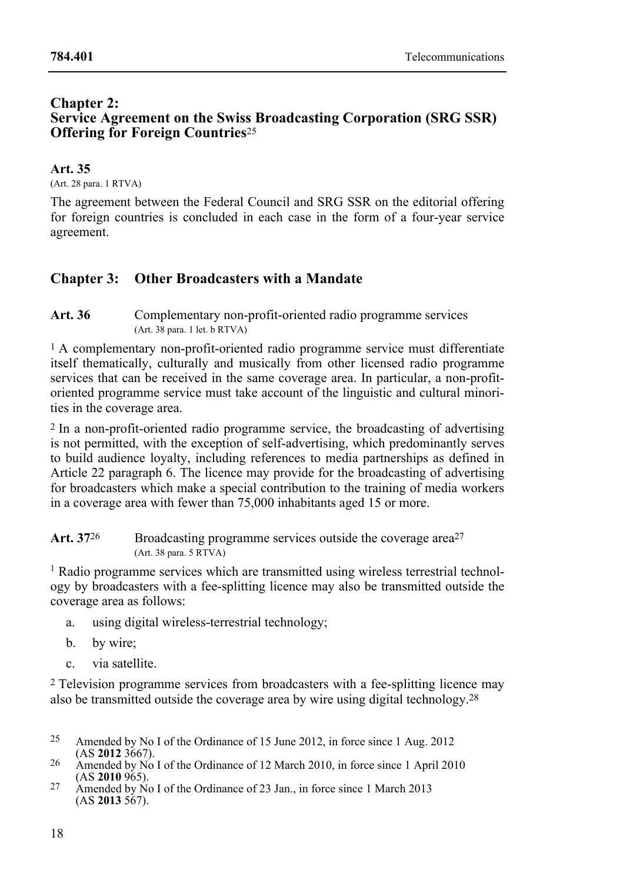### **Chapter 2: Service Agreement on the Swiss Broadcasting Corporation (SRG SSR) Offering for Foreign Countries**<sup>25</sup>

### **Art. 35**

(Art. 28 para. 1 RTVA)

The agreement between the Federal Council and SRG SSR on the editorial offering for foreign countries is concluded in each case in the form of a four-year service agreement.

# **Chapter 3: Other Broadcasters with a Mandate**

### Art. 36 Complementary non-profit-oriented radio programme services (Art. 38 para. 1 let. b RTVA)

1 A complementary non-profit-oriented radio programme service must differentiate itself thematically, culturally and musically from other licensed radio programme services that can be received in the same coverage area. In particular, a non-profitoriented programme service must take account of the linguistic and cultural minorities in the coverage area.

2 In a non-profit-oriented radio programme service, the broadcasting of advertising is not permitted, with the exception of self-advertising, which predominantly serves to build audience loyalty, including references to media partnerships as defined in Article 22 paragraph 6. The licence may provide for the broadcasting of advertising for broadcasters which make a special contribution to the training of media workers in a coverage area with fewer than 75,000 inhabitants aged 15 or more.

| Art. 3726 | Broadcasting programme services outside the coverage area <sup>27</sup> |
|-----------|-------------------------------------------------------------------------|
|           | (Art. 38 para. 5 RTVA)                                                  |

<sup>1</sup> Radio programme services which are transmitted using wireless terrestrial technology by broadcasters with a fee-splitting licence may also be transmitted outside the coverage area as follows:

- a. using digital wireless-terrestrial technology;
- b. by wire;
- c. via satellite.

2 Television programme services from broadcasters with a fee-splitting licence may also be transmitted outside the coverage area by wire using digital technology.28

- $25$ Amended by No I of the Ordinance of 15 June 2012, in force since 1 Aug. 2012 (AS 2012 3667).
- <sup>26</sup> Amended by No I of the Ordinance of 12 March 2010, in force since 1 April 2010 (AS **2010** 965).
- <sup>27</sup> Amended by No I of the Ordinance of 23 Jan., in force since 1 March 2013 (AS **2013** 567).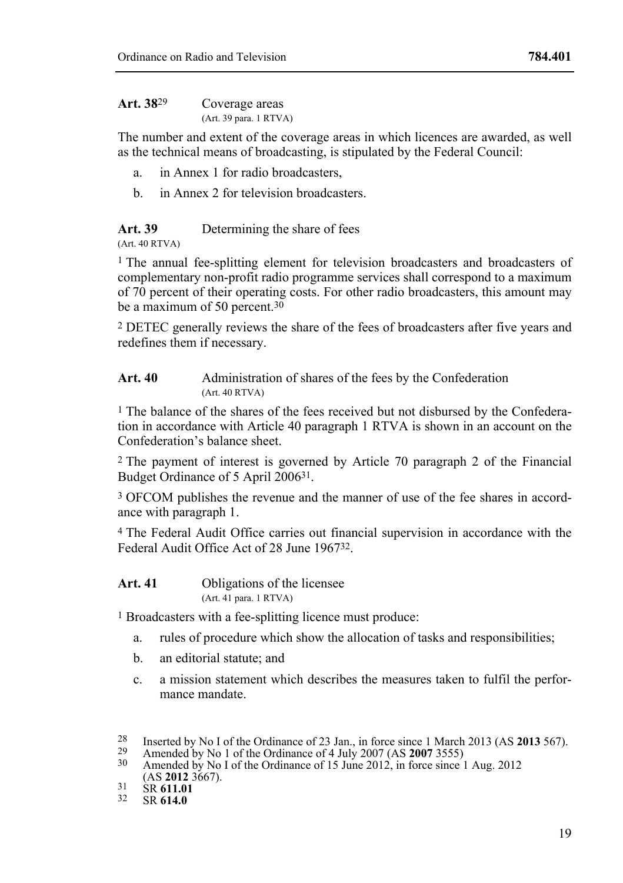| Art. 38 <sup>29</sup> | Coverage areas         |  |
|-----------------------|------------------------|--|
|                       | (Art. 39 para. 1 RTVA) |  |

The number and extent of the coverage areas in which licences are awarded, as well as the technical means of broadcasting, is stipulated by the Federal Council:

- a. in Annex 1 for radio broadcasters,
- b. in Annex 2 for television broadcasters.

**Art. 39** Determining the share of fees

(Art. 40 RTVA)

<sup>1</sup> The annual fee-splitting element for television broadcasters and broadcasters of complementary non-profit radio programme services shall correspond to a maximum of 70 percent of their operating costs. For other radio broadcasters, this amount may be a maximum of 50 percent.<sup>30</sup>

2 DETEC generally reviews the share of the fees of broadcasters after five years and redefines them if necessary.

Art. 40 Administration of shares of the fees by the Confederation (Art. 40 RTVA)

1 The balance of the shares of the fees received but not disbursed by the Confederation in accordance with Article 40 paragraph 1 RTVA is shown in an account on the Confederation's balance sheet.

2 The payment of interest is governed by Article 70 paragraph 2 of the Financial Budget Ordinance of 5 April 200631.

3 OFCOM publishes the revenue and the manner of use of the fee shares in accordance with paragraph 1.

4 The Federal Audit Office carries out financial supervision in accordance with the Federal Audit Office Act of 28 June 196732.

**Art. 41** Obligations of the licensee (Art. 41 para. 1 RTVA)

1 Broadcasters with a fee-splitting licence must produce:

- a. rules of procedure which show the allocation of tasks and responsibilities;
- b. an editorial statute; and
- c. a mission statement which describes the measures taken to fulfil the performance mandate.

<sup>28</sup> <sup>28</sup> Inserted by No I of the Ordinance of 23 Jan., in force since 1 March 2013 (AS **2013** 567).<br><sup>29</sup> Amended by No 1 of the Ordinance of 4 July 2007 (AS **2007** 3555)<br><sup>30</sup> Amended by No I of the Ordinance of 15 June 2012,

<sup>(</sup>AS **2012** 3667). 31 SR **611.01** 32 SR **614.0**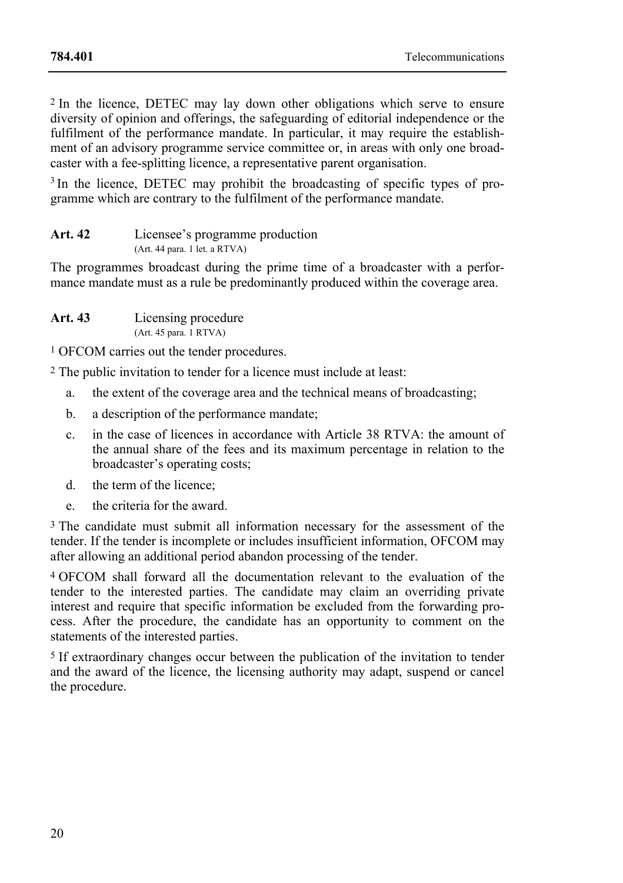2 In the licence, DETEC may lay down other obligations which serve to ensure diversity of opinion and offerings, the safeguarding of editorial independence or the fulfilment of the performance mandate. In particular, it may require the establishment of an advisory programme service committee or, in areas with only one broadcaster with a fee-splitting licence, a representative parent organisation.

<sup>3</sup> In the licence, DETEC may prohibit the broadcasting of specific types of programme which are contrary to the fulfilment of the performance mandate.

| Art. 42 | Licensee's programme production                   |
|---------|---------------------------------------------------|
|         | $(Art. 44 \text{ para. } 1 \text{ let. } a RTVA)$ |

The programmes broadcast during the prime time of a broadcaster with a performance mandate must as a rule be predominantly produced within the coverage area.

| Art. 43 | Licensing procedure    |
|---------|------------------------|
|         | (Art. 45 para. 1 RTVA) |

1 OFCOM carries out the tender procedures.

2 The public invitation to tender for a licence must include at least:

- a. the extent of the coverage area and the technical means of broadcasting;
- b. a description of the performance mandate;
- c. in the case of licences in accordance with Article 38 RTVA: the amount of the annual share of the fees and its maximum percentage in relation to the broadcaster's operating costs;
- d. the term of the licence;
- e. the criteria for the award.

<sup>3</sup> The candidate must submit all information necessary for the assessment of the tender. If the tender is incomplete or includes insufficient information, OFCOM may after allowing an additional period abandon processing of the tender.

4 OFCOM shall forward all the documentation relevant to the evaluation of the tender to the interested parties. The candidate may claim an overriding private interest and require that specific information be excluded from the forwarding process. After the procedure, the candidate has an opportunity to comment on the statements of the interested parties.

5 If extraordinary changes occur between the publication of the invitation to tender and the award of the licence, the licensing authority may adapt, suspend or cancel the procedure.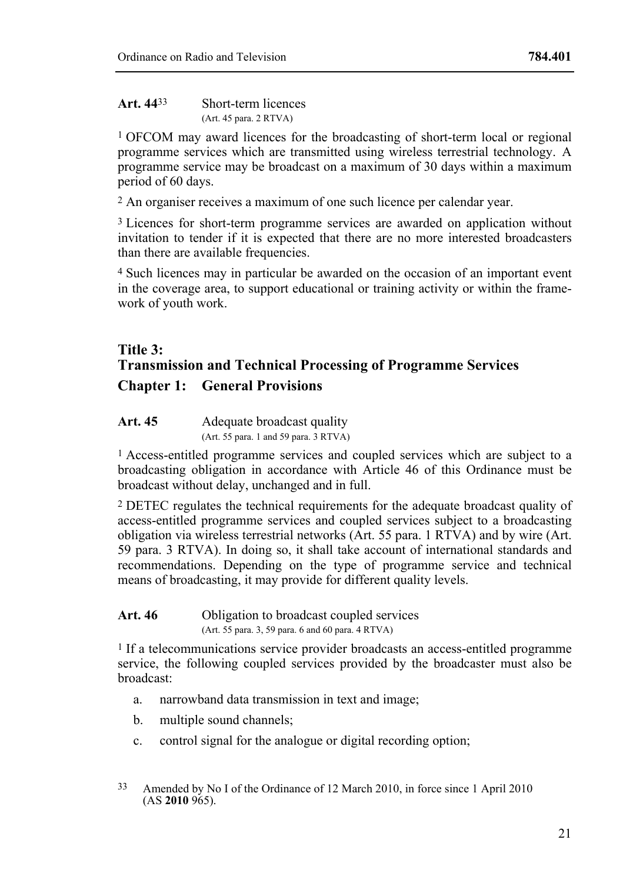1 OFCOM may award licences for the broadcasting of short-term local or regional programme services which are transmitted using wireless terrestrial technology. A programme service may be broadcast on a maximum of 30 days within a maximum period of 60 days.

2 An organiser receives a maximum of one such licence per calendar year.

<sup>3</sup> Licences for short-term programme services are awarded on application without invitation to tender if it is expected that there are no more interested broadcasters than there are available frequencies.

4 Such licences may in particular be awarded on the occasion of an important event in the coverage area, to support educational or training activity or within the framework of youth work.

# **Title 3: Transmission and Technical Processing of Programme Services Chapter 1: General Provisions**

#### Art. 45 Adequate broadcast quality (Art. 55 para. 1 and 59 para.  $\overline{3}$  RTVA)

1 Access-entitled programme services and coupled services which are subject to a broadcasting obligation in accordance with Article 46 of this Ordinance must be broadcast without delay, unchanged and in full.

2 DETEC regulates the technical requirements for the adequate broadcast quality of access-entitled programme services and coupled services subject to a broadcasting obligation via wireless terrestrial networks (Art. 55 para. 1 RTVA) and by wire (Art. 59 para. 3 RTVA). In doing so, it shall take account of international standards and recommendations. Depending on the type of programme service and technical means of broadcasting, it may provide for different quality levels.

# Art. 46 **Obligation** to broadcast coupled services (Art. 55 para. 3, 59 para. 6 and 60 para. 4 RTVA)

1 If a telecommunications service provider broadcasts an access-entitled programme service, the following coupled services provided by the broadcaster must also be broadcast:

- a. narrowband data transmission in text and image;
- b. multiple sound channels;
- c. control signal for the analogue or digital recording option;
- 33 Amended by No I of the Ordinance of 12 March 2010, in force since 1 April 2010 (AS **2010** 965).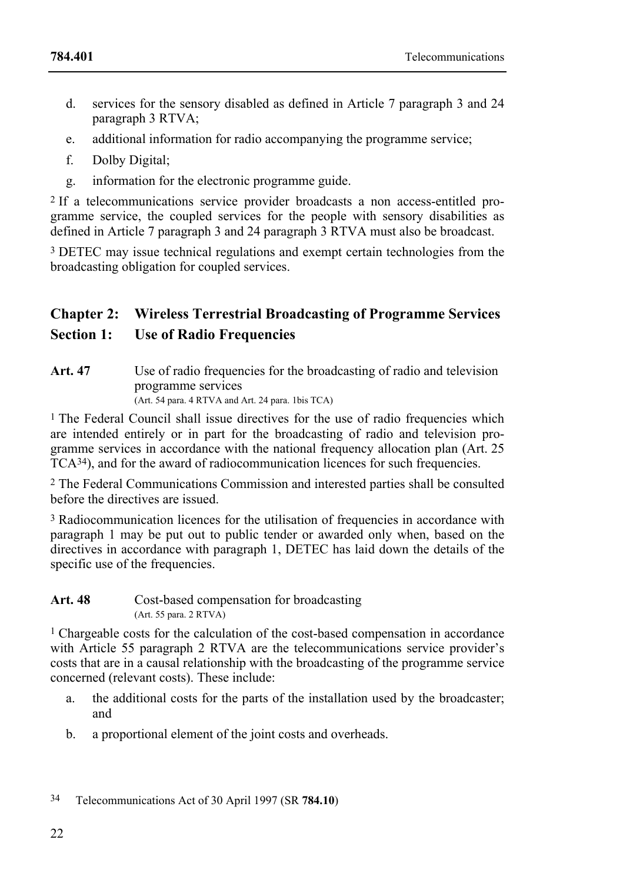- d. services for the sensory disabled as defined in Article 7 paragraph 3 and 24 paragraph 3 RTVA;
- e. additional information for radio accompanying the programme service;
- f. Dolby Digital;
- g. information for the electronic programme guide.

2 If a telecommunications service provider broadcasts a non access-entitled programme service, the coupled services for the people with sensory disabilities as defined in Article 7 paragraph 3 and 24 paragraph 3 RTVA must also be broadcast.

<sup>3</sup> DETEC may issue technical regulations and exempt certain technologies from the broadcasting obligation for coupled services.

# **Chapter 2: Wireless Terrestrial Broadcasting of Programme Services**

# **Section 1: Use of Radio Frequencies**

**Art. 47** Use of radio frequencies for the broadcasting of radio and television programme services (Art. 54 para. 4 RTVA and Art. 24 para. 1bis TCA)

1 The Federal Council shall issue directives for the use of radio frequencies which are intended entirely or in part for the broadcasting of radio and television programme services in accordance with the national frequency allocation plan (Art. 25 TCA34), and for the award of radiocommunication licences for such frequencies.

2 The Federal Communications Commission and interested parties shall be consulted before the directives are issued.

3 Radiocommunication licences for the utilisation of frequencies in accordance with paragraph 1 may be put out to public tender or awarded only when, based on the directives in accordance with paragraph 1, DETEC has laid down the details of the specific use of the frequencies.

| Art. 48 | Cost-based compensation for broadcasting |
|---------|------------------------------------------|
|         | (Art. 55 para. 2 RTVA)                   |

1 Chargeable costs for the calculation of the cost-based compensation in accordance with Article 55 paragraph 2 RTVA are the telecommunications service provider's costs that are in a causal relationship with the broadcasting of the programme service concerned (relevant costs). These include:

- a. the additional costs for the parts of the installation used by the broadcaster; and
- b. a proportional element of the joint costs and overheads.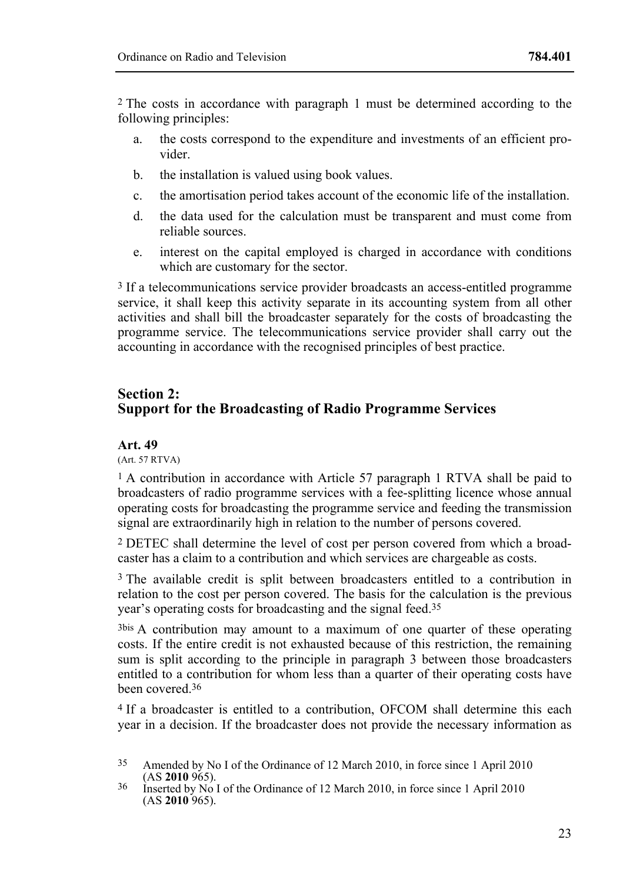2 The costs in accordance with paragraph 1 must be determined according to the following principles:

- a. the costs correspond to the expenditure and investments of an efficient provider.
- b. the installation is valued using book values.
- c. the amortisation period takes account of the economic life of the installation.
- d. the data used for the calculation must be transparent and must come from reliable sources.
- e. interest on the capital employed is charged in accordance with conditions which are customary for the sector.

3 If a telecommunications service provider broadcasts an access-entitled programme service, it shall keep this activity separate in its accounting system from all other activities and shall bill the broadcaster separately for the costs of broadcasting the programme service. The telecommunications service provider shall carry out the accounting in accordance with the recognised principles of best practice.

# **Section 2: Support for the Broadcasting of Radio Programme Services**

#### **Art. 49**

(Art. 57 RTVA)

<sup>1</sup> A contribution in accordance with Article 57 paragraph 1 RTVA shall be paid to broadcasters of radio programme services with a fee-splitting licence whose annual operating costs for broadcasting the programme service and feeding the transmission signal are extraordinarily high in relation to the number of persons covered.

2 DETEC shall determine the level of cost per person covered from which a broadcaster has a claim to a contribution and which services are chargeable as costs.

3 The available credit is split between broadcasters entitled to a contribution in relation to the cost per person covered. The basis for the calculation is the previous year's operating costs for broadcasting and the signal feed.35

3bis A contribution may amount to a maximum of one quarter of these operating costs. If the entire credit is not exhausted because of this restriction, the remaining sum is split according to the principle in paragraph 3 between those broadcasters entitled to a contribution for whom less than a quarter of their operating costs have been covered.36

4 If a broadcaster is entitled to a contribution, OFCOM shall determine this each year in a decision. If the broadcaster does not provide the necessary information as

<sup>&</sup>lt;sup>35</sup> Amended by No I of the Ordinance of 12 March 2010, in force since 1 April 2010 (AS **2010** 965).

<sup>&</sup>lt;sup>36</sup> Inserted by No I of the Ordinance of 12 March 2010, in force since 1 April 2010 (AS **2010** 965).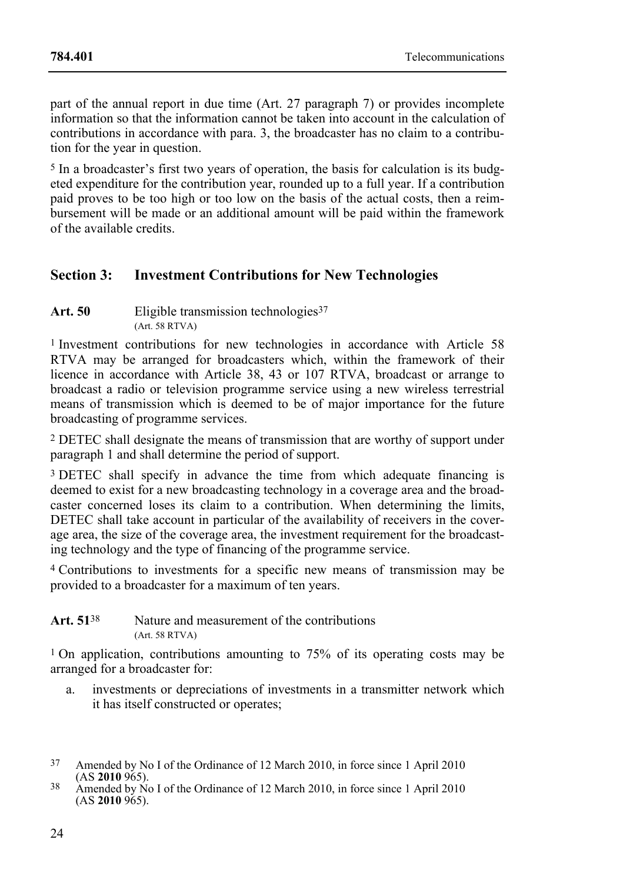part of the annual report in due time (Art. 27 paragraph 7) or provides incomplete information so that the information cannot be taken into account in the calculation of contributions in accordance with para. 3, the broadcaster has no claim to a contribution for the year in question.

5 In a broadcaster's first two years of operation, the basis for calculation is its budgeted expenditure for the contribution year, rounded up to a full year. If a contribution paid proves to be too high or too low on the basis of the actual costs, then a reimbursement will be made or an additional amount will be paid within the framework of the available credits.

# **Section 3: Investment Contributions for New Technologies**

Art. 50 Eligible transmission technologies<sup>37</sup>  $(Art. 58 RTVA)$ 

1 Investment contributions for new technologies in accordance with Article 58 RTVA may be arranged for broadcasters which, within the framework of their licence in accordance with Article 38, 43 or 107 RTVA, broadcast or arrange to broadcast a radio or television programme service using a new wireless terrestrial means of transmission which is deemed to be of major importance for the future broadcasting of programme services.

2 DETEC shall designate the means of transmission that are worthy of support under paragraph 1 and shall determine the period of support.

3 DETEC shall specify in advance the time from which adequate financing is deemed to exist for a new broadcasting technology in a coverage area and the broadcaster concerned loses its claim to a contribution. When determining the limits, DETEC shall take account in particular of the availability of receivers in the coverage area, the size of the coverage area, the investment requirement for the broadcasting technology and the type of financing of the programme service.

4 Contributions to investments for a specific new means of transmission may be provided to a broadcaster for a maximum of ten years.

#### Art. 51<sup>38</sup> Nature and measurement of the contributions (Art. 58 RTVA)

1 On application, contributions amounting to 75% of its operating costs may be arranged for a broadcaster for:

a. investments or depreciations of investments in a transmitter network which it has itself constructed or operates;

<sup>37</sup> Amended by No I of the Ordinance of 12 March 2010, in force since 1 April 2010

<sup>&</sup>lt;sup>38</sup> Amended by No I of the Ordinance of 12 March 2010, in force since 1 April 2010 (AS **2010** 965).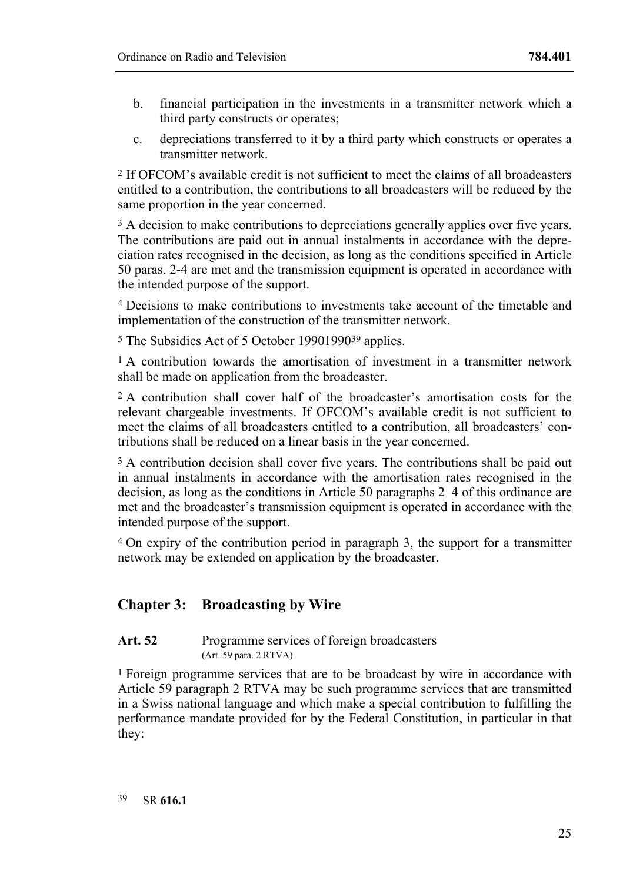- b. financial participation in the investments in a transmitter network which a third party constructs or operates;
- c. depreciations transferred to it by a third party which constructs or operates a transmitter network.

2 If OFCOM's available credit is not sufficient to meet the claims of all broadcasters entitled to a contribution, the contributions to all broadcasters will be reduced by the same proportion in the year concerned.

 $3A$  decision to make contributions to depreciations generally applies over five years. The contributions are paid out in annual instalments in accordance with the depreciation rates recognised in the decision, as long as the conditions specified in Article 50 paras. 2-4 are met and the transmission equipment is operated in accordance with the intended purpose of the support.

4 Decisions to make contributions to investments take account of the timetable and implementation of the construction of the transmitter network.

5 The Subsidies Act of 5 October 1990199039 applies.

<sup>1</sup> A contribution towards the amortisation of investment in a transmitter network shall be made on application from the broadcaster.

2 A contribution shall cover half of the broadcaster's amortisation costs for the relevant chargeable investments. If OFCOM's available credit is not sufficient to meet the claims of all broadcasters entitled to a contribution, all broadcasters' contributions shall be reduced on a linear basis in the year concerned.

<sup>3</sup> A contribution decision shall cover five years. The contributions shall be paid out in annual instalments in accordance with the amortisation rates recognised in the decision, as long as the conditions in Article 50 paragraphs 2–4 of this ordinance are met and the broadcaster's transmission equipment is operated in accordance with the intended purpose of the support.

4 On expiry of the contribution period in paragraph 3, the support for a transmitter network may be extended on application by the broadcaster.

# **Chapter 3: Broadcasting by Wire**

#### Art. 52 Programme services of foreign broadcasters (Art. 59 para. 2 RTVA)

1 Foreign programme services that are to be broadcast by wire in accordance with Article 59 paragraph 2 RTVA may be such programme services that are transmitted in a Swiss national language and which make a special contribution to fulfilling the performance mandate provided for by the Federal Constitution, in particular in that they: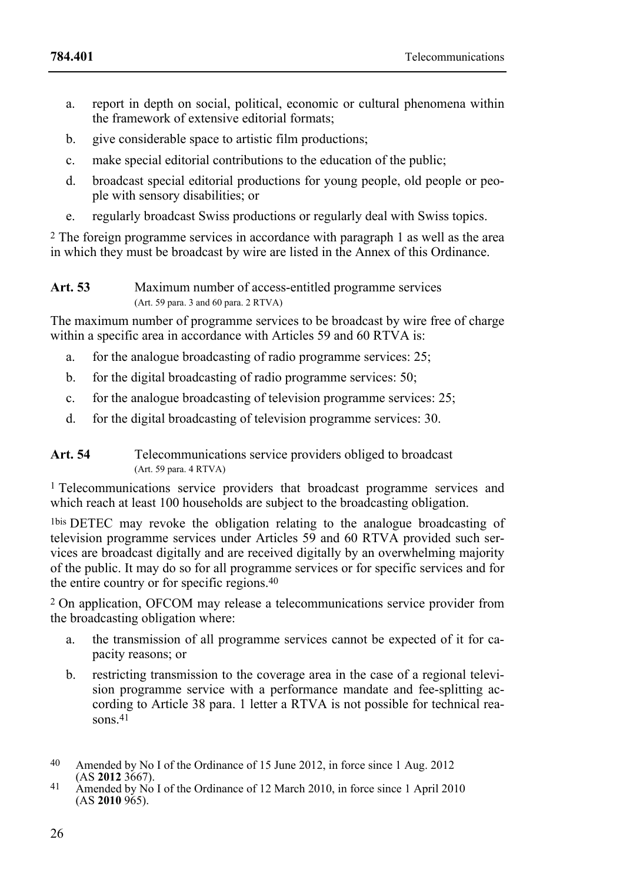- a. report in depth on social, political, economic or cultural phenomena within the framework of extensive editorial formats;
- b. give considerable space to artistic film productions;
- c. make special editorial contributions to the education of the public;
- d. broadcast special editorial productions for young people, old people or people with sensory disabilities; or
- e. regularly broadcast Swiss productions or regularly deal with Swiss topics.

2 The foreign programme services in accordance with paragraph 1 as well as the area in which they must be broadcast by wire are listed in the Annex of this Ordinance.

**Art. 53** Maximum number of access-entitled programme services (Art. 59 para. 3 and 60 para. 2 RTVA)

The maximum number of programme services to be broadcast by wire free of charge within a specific area in accordance with Articles 59 and 60 RTVA is:

- a. for the analogue broadcasting of radio programme services: 25;
- b. for the digital broadcasting of radio programme services: 50;
- c. for the analogue broadcasting of television programme services: 25;
- d. for the digital broadcasting of television programme services: 30.

### Art. 54 Telecommunications service providers obliged to broadcast (Art. 59 para. 4 RTVA)

1 Telecommunications service providers that broadcast programme services and which reach at least 100 households are subject to the broadcasting obligation.

1bis DETEC may revoke the obligation relating to the analogue broadcasting of television programme services under Articles 59 and 60 RTVA provided such services are broadcast digitally and are received digitally by an overwhelming majority of the public. It may do so for all programme services or for specific services and for the entire country or for specific regions.40

2 On application, OFCOM may release a telecommunications service provider from the broadcasting obligation where:

- a. the transmission of all programme services cannot be expected of it for capacity reasons; or
- b. restricting transmission to the coverage area in the case of a regional television programme service with a performance mandate and fee-splitting according to Article 38 para. 1 letter a RTVA is not possible for technical reasons.<sup>41</sup>

<sup>40</sup> Amended by No I of the Ordinance of 15 June 2012, in force since 1 Aug. 2012 (AS 2012 3667).

<sup>(</sup>AS **2012** 3667). 41 Amended by No I of the Ordinance of 12 March 2010, in force since 1 April 2010 (AS **2010** 965).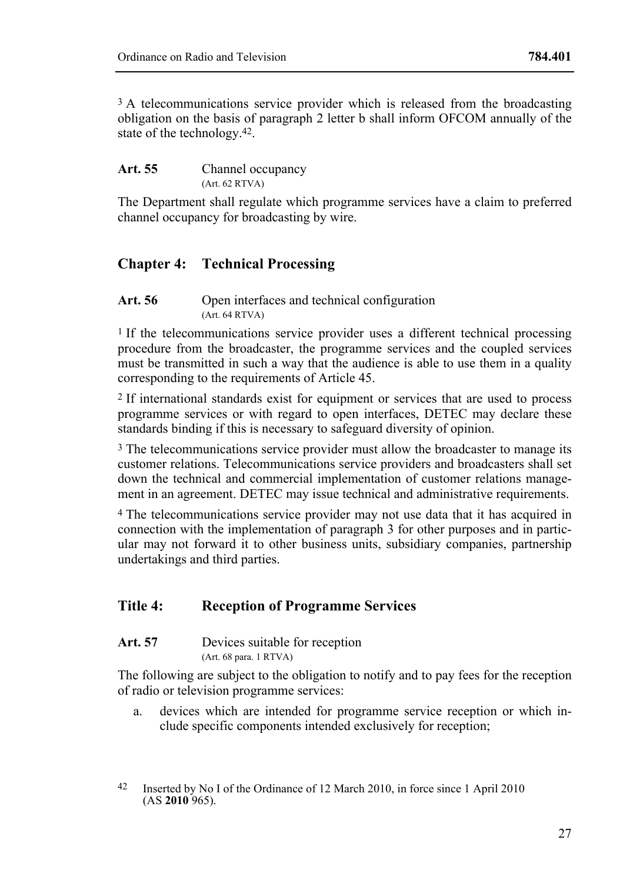<sup>3</sup> A telecommunications service provider which is released from the broadcasting obligation on the basis of paragraph 2 letter b shall inform OFCOM annually of the state of the technology.42.

| Art. 55 | Channel occupancy |
|---------|-------------------|
|         | (Art. 62 RTVA)    |

The Department shall regulate which programme services have a claim to preferred channel occupancy for broadcasting by wire.

# **Chapter 4: Technical Processing**

Art. 56 Open interfaces and technical configuration (Art. 64 RTVA)

<sup>1</sup> If the telecommunications service provider uses a different technical processing procedure from the broadcaster, the programme services and the coupled services must be transmitted in such a way that the audience is able to use them in a quality corresponding to the requirements of Article 45.

2 If international standards exist for equipment or services that are used to process programme services or with regard to open interfaces, DETEC may declare these standards binding if this is necessary to safeguard diversity of opinion.

<sup>3</sup> The telecommunications service provider must allow the broadcaster to manage its customer relations. Telecommunications service providers and broadcasters shall set down the technical and commercial implementation of customer relations management in an agreement. DETEC may issue technical and administrative requirements.

4 The telecommunications service provider may not use data that it has acquired in connection with the implementation of paragraph 3 for other purposes and in particular may not forward it to other business units, subsidiary companies, partnership undertakings and third parties.

# **Title 4: Reception of Programme Services**

Art. 57 Devices suitable for reception (Art. 68 para. 1 RTVA)

The following are subject to the obligation to notify and to pay fees for the reception of radio or television programme services:

a. devices which are intended for programme service reception or which include specific components intended exclusively for reception;

<sup>42</sup> Inserted by No I of the Ordinance of 12 March 2010, in force since 1 April 2010 (AS **2010** 965).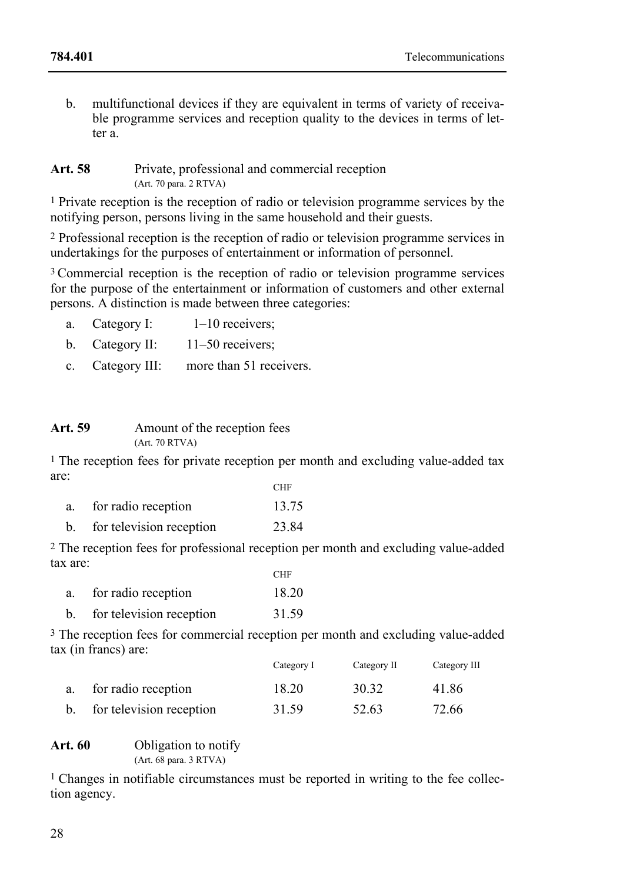b. multifunctional devices if they are equivalent in terms of variety of receivable programme services and reception quality to the devices in terms of letter a.

#### Art. 58 Private, professional and commercial reception (Art. 70 para. 2 RTVA)

1 Private reception is the reception of radio or television programme services by the notifying person, persons living in the same household and their guests.

2 Professional reception is the reception of radio or television programme services in undertakings for the purposes of entertainment or information of personnel.

<sup>3</sup> Commercial reception is the reception of radio or television programme services for the purpose of the entertainment or information of customers and other external persons. A distinction is made between three categories:

- a. Category I:  $1-10$  receivers;
- b. Category II: 11–50 receivers;
- c. Category III: more than 51 receivers.

#### Art. 59 Amount of the reception fees (Art. 70 RTVA)

1 The reception fees for private reception per month and excluding value-added tax are: **CHF** 

| for radio reception      | 13.75 |
|--------------------------|-------|
| for television reception | 23.84 |

2 The reception fees for professional reception per month and excluding value-added tax are:

|    |                          | <b>CHF</b> |
|----|--------------------------|------------|
| a. | for radio reception      | 18.20      |
|    | for television reception | 31.59      |

3 The reception fees for commercial reception per month and excluding value-added tax (in francs) are:

|                          | Category I | Category II | Category III |
|--------------------------|------------|-------------|--------------|
| for radio reception      | 18.20      | 30.32       | 41.86        |
| for television reception | 31.59      | 52.63       | 72.66        |

#### **Art. 60** Obligation to notify (Art. 68 para. 3 RTVA)

1 Changes in notifiable circumstances must be reported in writing to the fee collection agency.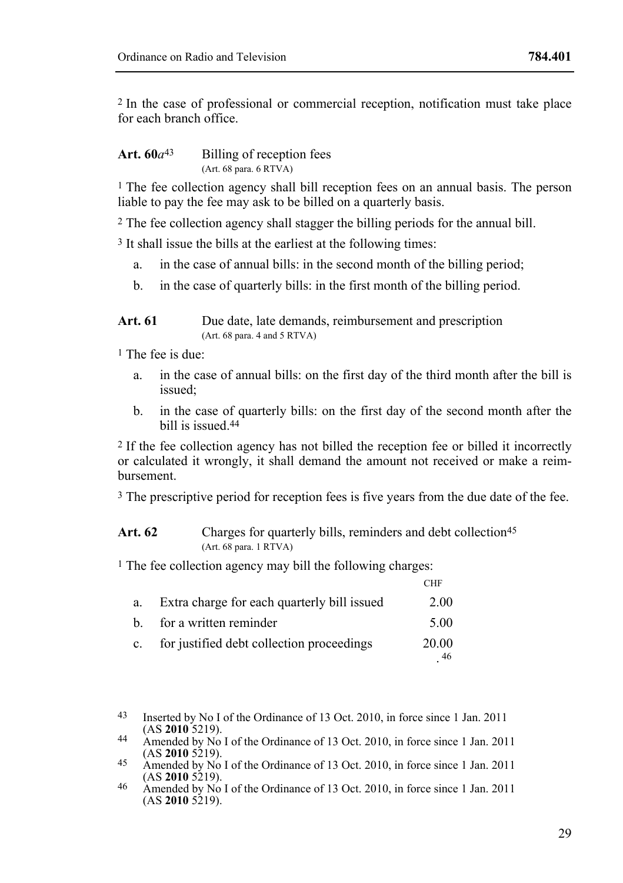2 In the case of professional or commercial reception, notification must take place for each branch office.

### Art.  $60a^{43}$  Billing of reception fees (Art. 68 para. 6 RTVA)

<sup>1</sup> The fee collection agency shall bill reception fees on an annual basis. The person liable to pay the fee may ask to be billed on a quarterly basis.

2 The fee collection agency shall stagger the billing periods for the annual bill.

3 It shall issue the bills at the earliest at the following times:

- a. in the case of annual bills: in the second month of the billing period;
- b. in the case of quarterly bills: in the first month of the billing period.

### Art. 61 Due date, late demands, reimbursement and prescription (Art. 68 para. 4 and 5 RTVA)

1 The fee is due:

- a. in the case of annual bills: on the first day of the third month after the bill is issued;
- b. in the case of quarterly bills: on the first day of the second month after the bill is issued.44

2 If the fee collection agency has not billed the reception fee or billed it incorrectly or calculated it wrongly, it shall demand the amount not received or make a reimbursement.

<sup>3</sup> The prescriptive period for reception fees is five years from the due date of the fee.

### Art. 62 Charges for quarterly bills, reminders and debt collection<sup>45</sup> (Art. 68 para. 1 RTVA)

1 The fee collection agency may bill the following charges:

|             |                                             | <b>CHF</b>  |
|-------------|---------------------------------------------|-------------|
| a.          | Extra charge for each quarterly bill issued | 2.00        |
| h.          | for a written reminder                      | 5.00        |
| $c_{\cdot}$ | for justified debt collection proceedings   | 20.00<br>46 |

<sup>43</sup> Inserted by No I of the Ordinance of 13 Oct. 2010, in force since 1 Jan. 2011 (AS 2010 5219).

<sup>44</sup> Amended by No I of the Ordinance of 13 Oct. 2010, in force since 1 Jan. 2011 (AS **2010** 5219).

<sup>45</sup> Amended by No I of the Ordinance of 13 Oct. 2010, in force since 1 Jan. 2011 (AS **2010** 5219).

<sup>(</sup>AS **2010** 5219). 46 Amended by No I of the Ordinance of 13 Oct. 2010, in force since 1 Jan. 2011  $(AS 2010 5219).$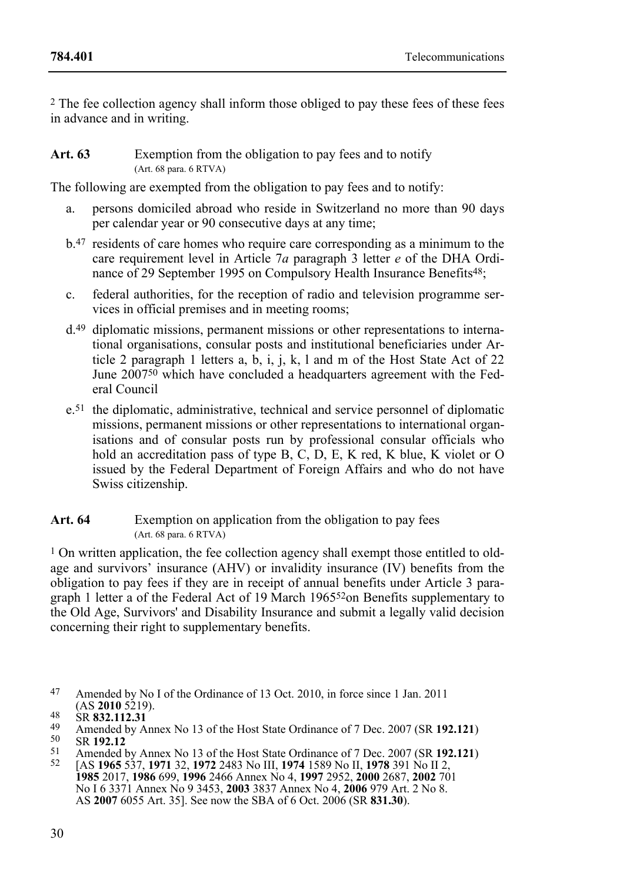2 The fee collection agency shall inform those obliged to pay these fees of these fees in advance and in writing.

### **Art. 63** Exemption from the obligation to pay fees and to notify (Art. 68 para. 6 RTVA)

The following are exempted from the obligation to pay fees and to notify:

- a. persons domiciled abroad who reside in Switzerland no more than 90 days per calendar year or 90 consecutive days at any time;
- b.47 residents of care homes who require care corresponding as a minimum to the care requirement level in Article 7*a* paragraph 3 letter *e* of the DHA Ordinance of 29 September 1995 on Compulsory Health Insurance Benefits<sup>48</sup>;
- c. federal authorities, for the reception of radio and television programme services in official premises and in meeting rooms;
- d.49 diplomatic missions, permanent missions or other representations to international organisations, consular posts and institutional beneficiaries under Article 2 paragraph 1 letters a,  $\overrightarrow{b}$ , i, j, k, 1 and m of the Host State Act of 22 June 2007<sup>50</sup> which have concluded a headquarters agreement with the Federal Council
- e.51 the diplomatic, administrative, technical and service personnel of diplomatic missions, permanent missions or other representations to international organisations and of consular posts run by professional consular officials who hold an accreditation pass of type B, C, D, E, K red, K blue, K violet or O issued by the Federal Department of Foreign Affairs and who do not have Swiss citizenship.

# Art. 64 Exemption on application from the obligation to pay fees (Art. 68 para. 6 RTVA)

<sup>1</sup> On written application, the fee collection agency shall exempt those entitled to oldage and survivors' insurance (AHV) or invalidity insurance (IV) benefits from the obligation to pay fees if they are in receipt of annual benefits under Article 3 paragraph 1 letter a of the Federal Act of 19 March 196552on Benefits supplementary to the Old Age, Survivors' and Disability Insurance and submit a legally valid decision concerning their right to supplementary benefits.

<sup>47</sup> Amended by No I of the Ordinance of 13 Oct. 2010, in force since 1 Jan. 2011 (AS **2010** 5219).

<sup>(</sup>AS 2010 5219).<br>
SR 832.112.31<br>
Amended by Annex No 13 of the Host State Ordinance of 7 Dec. 2007 (SR 192.121)<br>
SR 192.12<br>
SR 192.12<br>
Amended by Annex No 13 of the Host State Ordinance of 7 Dec. 2007 (SR 192.121)<br>
SP 1965 No I 6 3371 Annex No 9 3453, **2003** 3837 Annex No 4, **2006** 979 Art. 2 No 8. AS **2007** 6055 Art. 35]. See now the SBA of 6 Oct. 2006 (SR **831.30**).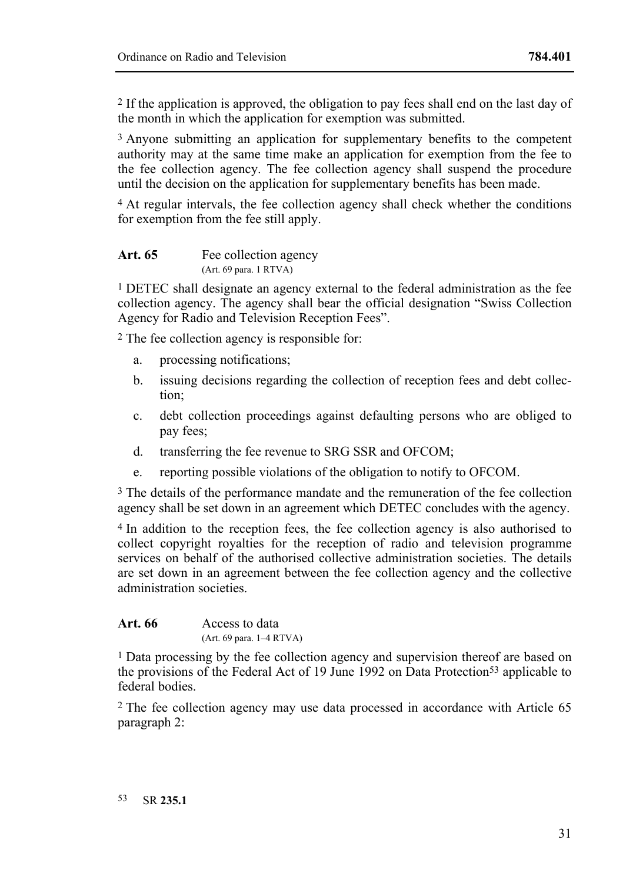2 If the application is approved, the obligation to pay fees shall end on the last day of the month in which the application for exemption was submitted.

3 Anyone submitting an application for supplementary benefits to the competent authority may at the same time make an application for exemption from the fee to the fee collection agency. The fee collection agency shall suspend the procedure until the decision on the application for supplementary benefits has been made.

4 At regular intervals, the fee collection agency shall check whether the conditions for exemption from the fee still apply.

| Art. 65 | Fee collection agency                     |
|---------|-------------------------------------------|
|         | $(Art. 69 \text{ para. } 1 \text{ RTVA})$ |

1 DETEC shall designate an agency external to the federal administration as the fee collection agency. The agency shall bear the official designation "Swiss Collection Agency for Radio and Television Reception Fees".

2 The fee collection agency is responsible for:

- a. processing notifications;
- b. issuing decisions regarding the collection of reception fees and debt collection;
- c. debt collection proceedings against defaulting persons who are obliged to pay fees;
- d. transferring the fee revenue to SRG SSR and OFCOM;
- e. reporting possible violations of the obligation to notify to OFCOM.

3 The details of the performance mandate and the remuneration of the fee collection agency shall be set down in an agreement which DETEC concludes with the agency.

4 In addition to the reception fees, the fee collection agency is also authorised to collect copyright royalties for the reception of radio and television programme services on behalf of the authorised collective administration societies. The details are set down in an agreement between the fee collection agency and the collective administration societies.

Art. 66 Access to data (Art. 69 para. 1–4 RTVA)

1 Data processing by the fee collection agency and supervision thereof are based on the provisions of the Federal Act of 19 June 1992 on Data Protection<sup>53</sup> applicable to federal bodies.

2 The fee collection agency may use data processed in accordance with Article 65 paragraph 2: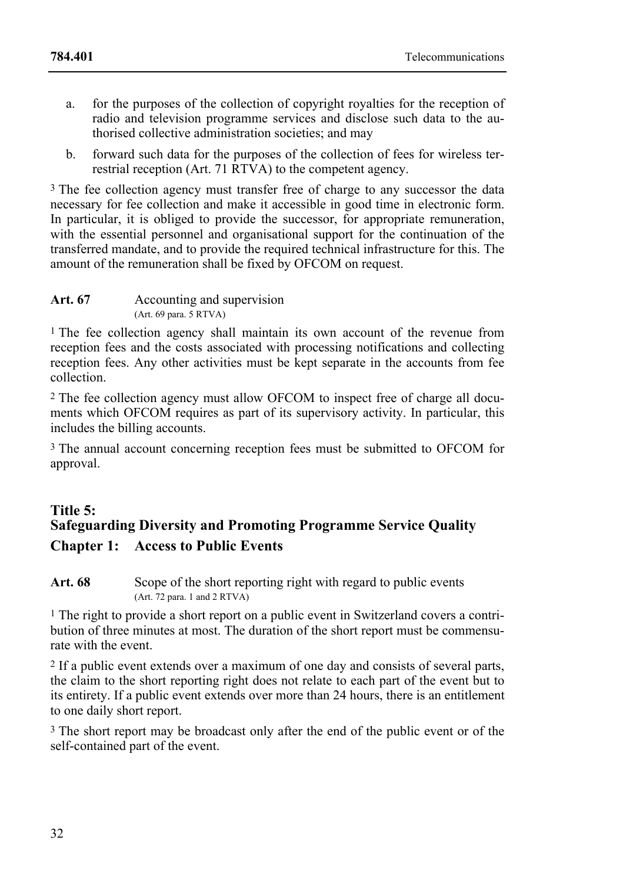- a. for the purposes of the collection of copyright royalties for the reception of radio and television programme services and disclose such data to the authorised collective administration societies; and may
- b. forward such data for the purposes of the collection of fees for wireless terrestrial reception (Art. 71 RTVA) to the competent agency.

<sup>3</sup> The fee collection agency must transfer free of charge to any successor the data necessary for fee collection and make it accessible in good time in electronic form. In particular, it is obliged to provide the successor, for appropriate remuneration, with the essential personnel and organisational support for the continuation of the transferred mandate, and to provide the required technical infrastructure for this. The amount of the remuneration shall be fixed by OFCOM on request.

| Art. 67 | Accounting and supervision                |
|---------|-------------------------------------------|
|         | $(Art. 69 \text{ para. } 5 \text{ RTVA})$ |

<sup>1</sup> The fee collection agency shall maintain its own account of the revenue from reception fees and the costs associated with processing notifications and collecting reception fees. Any other activities must be kept separate in the accounts from fee collection.

2 The fee collection agency must allow OFCOM to inspect free of charge all documents which OFCOM requires as part of its supervisory activity. In particular, this includes the billing accounts.

3 The annual account concerning reception fees must be submitted to OFCOM for approval.

# **Title 5: Safeguarding Diversity and Promoting Programme Service Quality Chapter 1: Access to Public Events**

# Art. 68 Scope of the short reporting right with regard to public events (Art. 72 para. 1 and 2 RTVA)

<sup>1</sup> The right to provide a short report on a public event in Switzerland covers a contribution of three minutes at most. The duration of the short report must be commensurate with the event.

2 If a public event extends over a maximum of one day and consists of several parts, the claim to the short reporting right does not relate to each part of the event but to its entirety. If a public event extends over more than 24 hours, there is an entitlement to one daily short report.

<sup>3</sup> The short report may be broadcast only after the end of the public event or of the self-contained part of the event.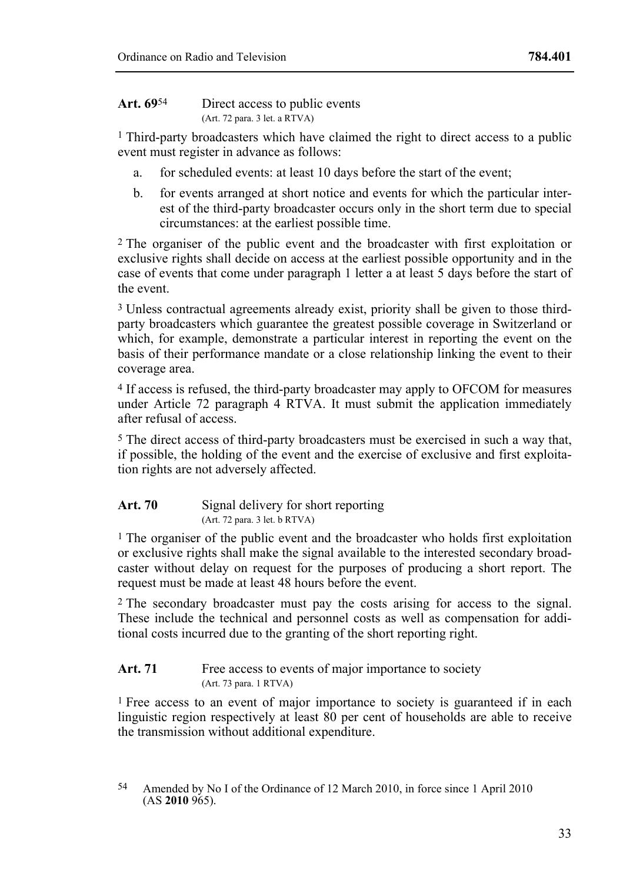1 Third-party broadcasters which have claimed the right to direct access to a public event must register in advance as follows:

- a. for scheduled events: at least 10 days before the start of the event;
- b. for events arranged at short notice and events for which the particular interest of the third-party broadcaster occurs only in the short term due to special circumstances: at the earliest possible time.

2 The organiser of the public event and the broadcaster with first exploitation or exclusive rights shall decide on access at the earliest possible opportunity and in the case of events that come under paragraph 1 letter a at least 5 days before the start of the event.

3 Unless contractual agreements already exist, priority shall be given to those thirdparty broadcasters which guarantee the greatest possible coverage in Switzerland or which, for example, demonstrate a particular interest in reporting the event on the basis of their performance mandate or a close relationship linking the event to their coverage area.

4 If access is refused, the third-party broadcaster may apply to OFCOM for measures under Article 72 paragraph 4 RTVA. It must submit the application immediately after refusal of access.

5 The direct access of third-party broadcasters must be exercised in such a way that, if possible, the holding of the event and the exercise of exclusive and first exploitation rights are not adversely affected.

### Art. 70 Signal delivery for short reporting (Art. 72 para. 3 let. b RTVA)

 $<sup>1</sup>$  The organiser of the public event and the broadcaster who holds first exploitation</sup> or exclusive rights shall make the signal available to the interested secondary broadcaster without delay on request for the purposes of producing a short report. The request must be made at least 48 hours before the event.

2 The secondary broadcaster must pay the costs arising for access to the signal. These include the technical and personnel costs as well as compensation for additional costs incurred due to the granting of the short reporting right.

# Art. 71 Free access to events of major importance to society (Art. 73 para. 1 RTVA)

1 Free access to an event of major importance to society is guaranteed if in each linguistic region respectively at least 80 per cent of households are able to receive the transmission without additional expenditure.

<sup>54</sup> Amended by No I of the Ordinance of 12 March 2010, in force since 1 April 2010 (AS **2010** 965).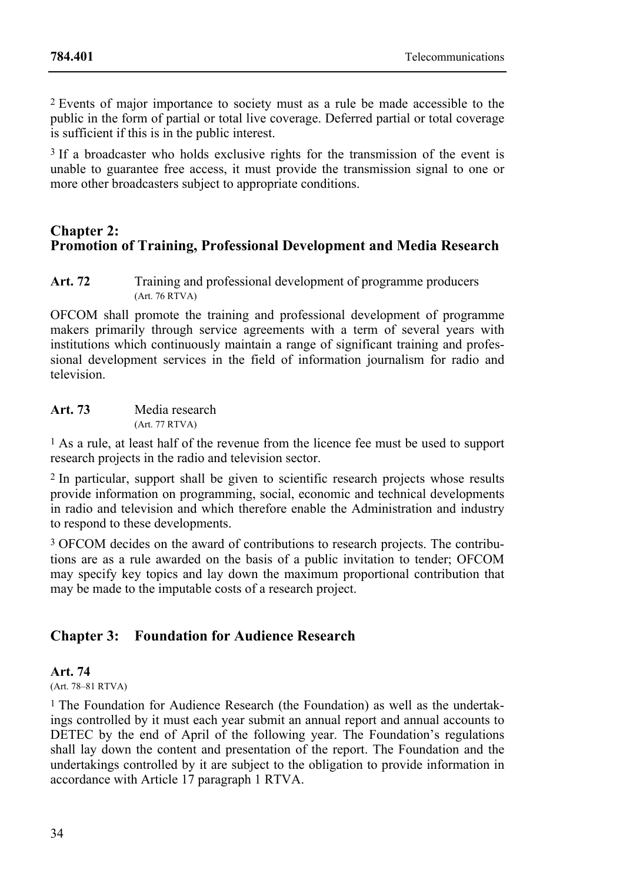2 Events of major importance to society must as a rule be made accessible to the public in the form of partial or total live coverage. Deferred partial or total coverage is sufficient if this is in the public interest.

<sup>3</sup> If a broadcaster who holds exclusive rights for the transmission of the event is unable to guarantee free access, it must provide the transmission signal to one or more other broadcasters subject to appropriate conditions.

# **Chapter 2: Promotion of Training, Professional Development and Media Research**

Art. 72 Training and professional development of programme producers (Art. 76 RTVA)

OFCOM shall promote the training and professional development of programme makers primarily through service agreements with a term of several years with institutions which continuously maintain a range of significant training and professional development services in the field of information journalism for radio and television.

| Art. 73 | Media research |
|---------|----------------|
|         | (Art. 77 RTVA) |

1 As a rule, at least half of the revenue from the licence fee must be used to support research projects in the radio and television sector.

2 In particular, support shall be given to scientific research projects whose results provide information on programming, social, economic and technical developments in radio and television and which therefore enable the Administration and industry to respond to these developments.

3 OFCOM decides on the award of contributions to research projects. The contributions are as a rule awarded on the basis of a public invitation to tender; OFCOM may specify key topics and lay down the maximum proportional contribution that may be made to the imputable costs of a research project.

# **Chapter 3: Foundation for Audience Research**

### **Art. 74**

(Art. 78–81 RTVA)

1 The Foundation for Audience Research (the Foundation) as well as the undertakings controlled by it must each year submit an annual report and annual accounts to DETEC by the end of April of the following year. The Foundation's regulations shall lay down the content and presentation of the report. The Foundation and the undertakings controlled by it are subject to the obligation to provide information in accordance with Article 17 paragraph 1 RTVA.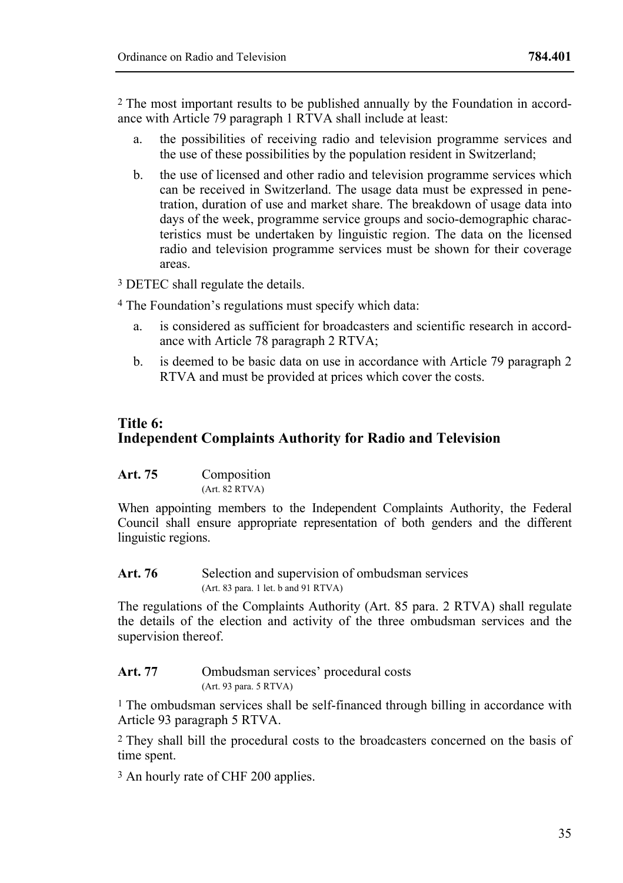2 The most important results to be published annually by the Foundation in accordance with Article 79 paragraph 1 RTVA shall include at least:

- a. the possibilities of receiving radio and television programme services and the use of these possibilities by the population resident in Switzerland;
- b. the use of licensed and other radio and television programme services which can be received in Switzerland. The usage data must be expressed in penetration, duration of use and market share. The breakdown of usage data into days of the week, programme service groups and socio-demographic characteristics must be undertaken by linguistic region. The data on the licensed radio and television programme services must be shown for their coverage areas.

3 DETEC shall regulate the details.

4 The Foundation's regulations must specify which data:

- a. is considered as sufficient for broadcasters and scientific research in accordance with Article 78 paragraph 2 RTVA;
- b. is deemed to be basic data on use in accordance with Article 79 paragraph 2 RTVA and must be provided at prices which cover the costs.

# **Title 6: Independent Complaints Authority for Radio and Television**

| Art. 75 | Composition    |  |
|---------|----------------|--|
|         | (Art. 82 RTVA) |  |

When appointing members to the Independent Complaints Authority, the Federal Council shall ensure appropriate representation of both genders and the different linguistic regions.

Art. 76 Selection and supervision of ombudsman services (Art. 83 para. 1 let. b and 91 RTVA)

The regulations of the Complaints Authority (Art. 85 para. 2 RTVA) shall regulate the details of the election and activity of the three ombudsman services and the supervision thereof.

Art. 77 **Ombudsman services' procedural costs** (Art. 93 para. 5 RTVA)

1 The ombudsman services shall be self-financed through billing in accordance with Article 93 paragraph 5 RTVA.

2 They shall bill the procedural costs to the broadcasters concerned on the basis of time spent.

3 An hourly rate of CHF 200 applies.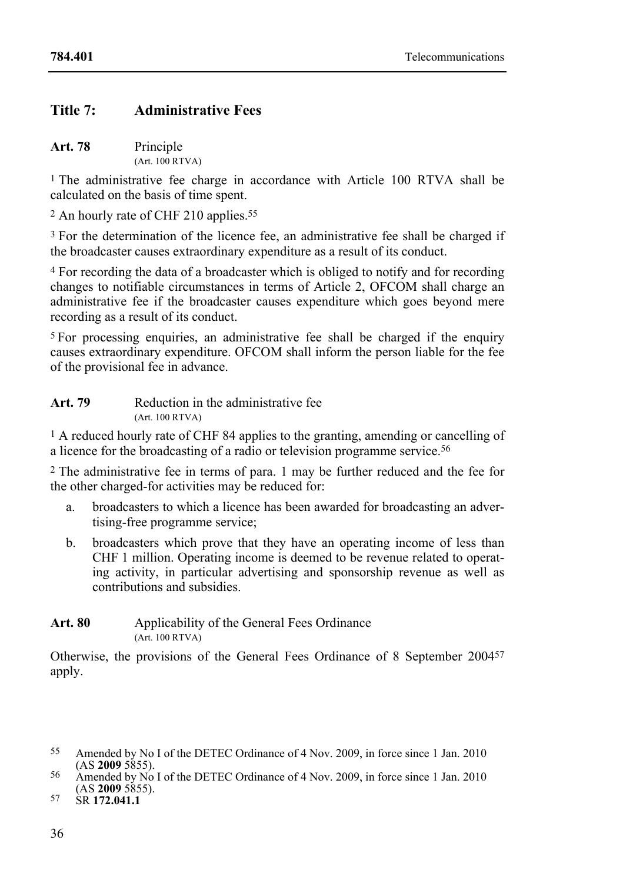# **Title 7: Administrative Fees**

| Art. 78 | Principle       |
|---------|-----------------|
|         | (Art. 100 RTVA) |

<sup>1</sup> The administrative fee charge in accordance with Article 100 RTVA shall be calculated on the basis of time spent.

<sup>2</sup> An hourly rate of CHF 210 applies.<sup>55</sup>

3 For the determination of the licence fee, an administrative fee shall be charged if the broadcaster causes extraordinary expenditure as a result of its conduct.

4 For recording the data of a broadcaster which is obliged to notify and for recording changes to notifiable circumstances in terms of Article 2, OFCOM shall charge an administrative fee if the broadcaster causes expenditure which goes beyond mere recording as a result of its conduct.

5 For processing enquiries, an administrative fee shall be charged if the enquiry causes extraordinary expenditure. OFCOM shall inform the person liable for the fee of the provisional fee in advance.

| Art. 79 | Reduction in the administrative fee |
|---------|-------------------------------------|
|         | (Art. 100 RTVA)                     |

1 A reduced hourly rate of CHF 84 applies to the granting, amending or cancelling of a licence for the broadcasting of a radio or television programme service.56

2 The administrative fee in terms of para. 1 may be further reduced and the fee for the other charged-for activities may be reduced for:

- a. broadcasters to which a licence has been awarded for broadcasting an advertising-free programme service;
- b. broadcasters which prove that they have an operating income of less than CHF 1 million. Operating income is deemed to be revenue related to operating activity, in particular advertising and sponsorship revenue as well as contributions and subsidies.

# Art. 80 Applicability of the General Fees Ordinance (Art. 100 RTVA)

Otherwise, the provisions of the General Fees Ordinance of 8 September 200457 apply.

<sup>55</sup> Amended by No I of the DETEC Ordinance of 4 Nov. 2009, in force since 1 Jan. 2010 (AS 2009 5855).

<sup>(</sup>AS **2009** 5855). 56 Amended by No I of the DETEC Ordinance of 4 Nov. 2009, in force since 1 Jan. 2010 (AS **2009** 5855). 57 SR **172.041.1**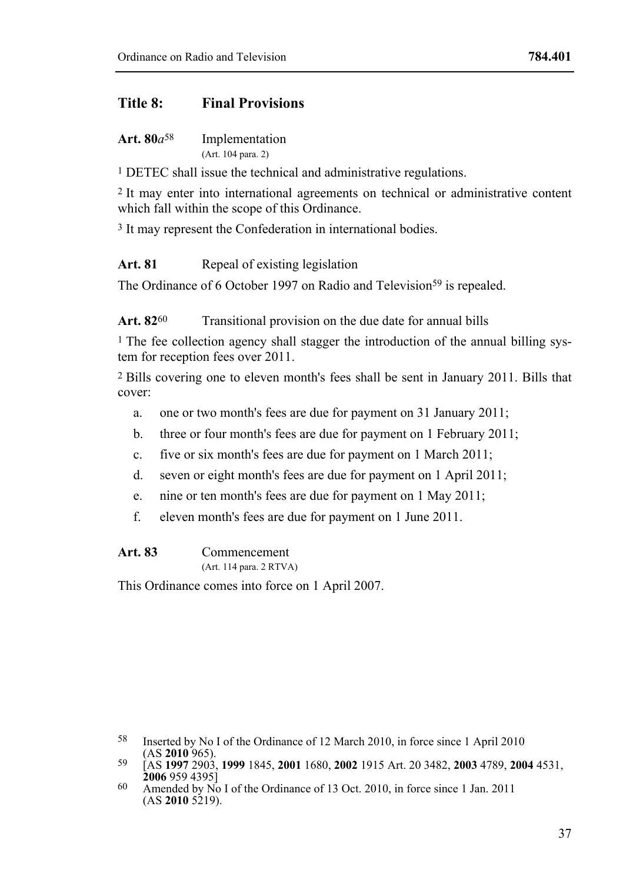# **Title 8: Final Provisions**

| Art. $80a^{58}$ | Implementation     |
|-----------------|--------------------|
|                 | (Art. 104 para. 2) |

1 DETEC shall issue the technical and administrative regulations.

2 It may enter into international agreements on technical or administrative content which fall within the scope of this Ordinance.

3 It may represent the Confederation in international bodies.

# Art. 81 Repeal of existing legislation

The Ordinance of 6 October 1997 on Radio and Television<sup>59</sup> is repealed.

Art. 82<sup>60</sup> Transitional provision on the due date for annual bills

1 The fee collection agency shall stagger the introduction of the annual billing system for reception fees over 2011.

2 Bills covering one to eleven month's fees shall be sent in January 2011. Bills that cover:

- a. one or two month's fees are due for payment on 31 January 2011;
- b. three or four month's fees are due for payment on 1 February 2011;
- c. five or six month's fees are due for payment on 1 March 2011;
- d. seven or eight month's fees are due for payment on 1 April 2011;
- e. nine or ten month's fees are due for payment on 1 May 2011;
- f. eleven month's fees are due for payment on 1 June 2011.

### **Art. 83** Commencement

(Art. 114 para. 2 RTVA)

This Ordinance comes into force on 1 April 2007.

<sup>58</sup> Inserted by No I of the Ordinance of 12 March 2010, in force since 1 April 2010 (AS 2010 965).

<sup>(</sup>AS **2010** 965). 59 [AS **1997** 2903, **1999** 1845, **2001** 1680, **2002** 1915 Art. 20 3482, **2003** 4789, **2004** 4531,

**<sup>2006</sup>** 959 4395] 60 Amended by No I of the Ordinance of 13 Oct. 2010, in force since 1 Jan. 2011  $(AS 2010 5219).$